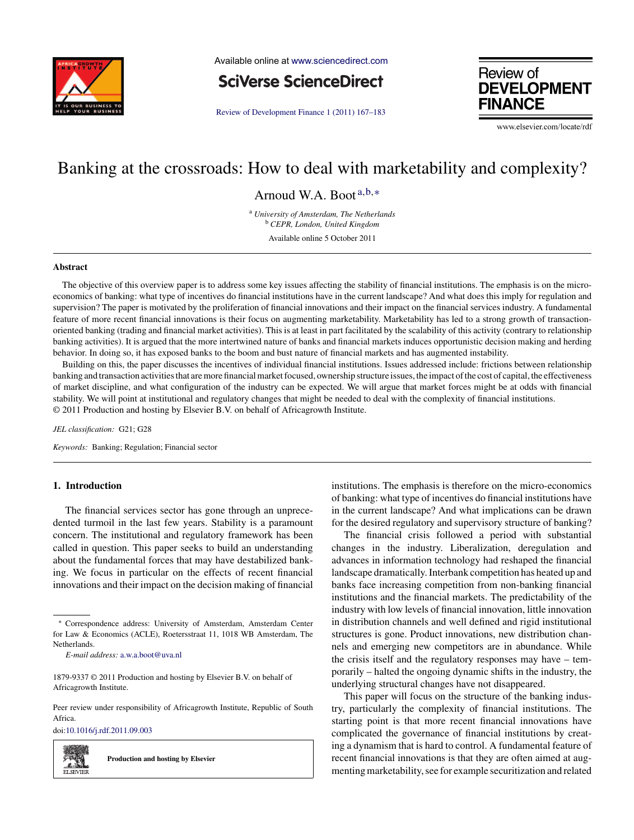

Available online at [www.sciencedirect.com](http://www.sciencedirect.com/science/journal/18799337)

**SciVerse ScienceDirect** 

[Review of Development Finance 1 \(2011\) 167–183](dx.doi.org/10.1016/j.rdf.2011.09.003)



www.elsevier.com/locate/rdt

# Banking at the crossroads: How to deal with marketability and complexity?

Arnoud W.A. Boot<sup>a,b,∗</sup>

<sup>a</sup> *University of Amsterdam, The Netherlands* <sup>b</sup> *CEPR, London, United Kingdom* Available online 5 October 2011

**Abstract**

The objective of this overview paper is to address some key issues affecting the stability of financial institutions. The emphasis is on the microeconomics of banking: what type of incentives do financial institutions have in the current landscape? And what does this imply for regulation and supervision? The paper is motivated by the proliferation of financial innovations and their impact on the financial services industry. A fundamental feature of more recent financial innovations is their focus on augmenting marketability. Marketability has led to a strong growth of transactionoriented banking (trading and financial market activities). This is at least in part facilitated by the scalability of this activity (contrary to relationship banking activities). It is argued that the more intertwined nature of banks and financial markets induces opportunistic decision making and herding behavior. In doing so, it has exposed banks to the boom and bust nature of financial markets and has augmented instability.

Building on this, the paper discusses the incentives of individual financial institutions. Issues addressed include: frictions between relationship banking and transaction activities that are more financial market focused, ownership structure issues, the impact of the cost of capital, the effectiveness of market discipline, and what configuration of the industry can be expected. We will argue that market forces might be at odds with financial stability. We will point at institutional and regulatory changes that might be needed to deal with the complexity of financial institutions. © 2011 Production and hosting by Elsevier B.V. on behalf of Africagrowth Institute.

*JEL classification:* G21; G28

*Keywords:* Banking; Regulation; Financial sector

## **1. Introduction**

The financial services sector has gone through an unprecedented turmoil in the last few years. Stability is a paramount concern. The institutional and regulatory framework has been called in question. This paper seeks to build an understanding about the fundamental forces that may have destabilized banking. We focus in particular on the effects of recent financial innovations and their impact on the decision making of financial

Peer review under responsibility of Africagrowth Institute, Republic of South Africa.

doi[:10.1016/j.rdf.2011.09.003](dx.doi.org/10.1016/j.rdf.2011.09.003)



**Production and hosting by Elsevier**

institutions. The emphasis is therefore on the micro-economics of banking: what type of incentives do financial institutions have in the current landscape? And what implications can be drawn for the desired regulatory and supervisory structure of banking?

The financial crisis followed a period with substantial changes in the industry. Liberalization, deregulation and advances in information technology had reshaped the financial landscape dramatically. Interbank competition has heated up and banks face increasing competition from non-banking financial institutions and the financial markets. The predictability of the industry with low levels of financial innovation, little innovation in distribution channels and well defined and rigid institutional structures is gone. Product innovations, new distribution channels and emerging new competitors are in abundance. While the crisis itself and the regulatory responses may have – temporarily – halted the ongoing dynamic shifts in the industry, the underlying structural changes have not disappeared.

This paper will focus on the structure of the banking industry, particularly the complexity of financial institutions. The starting point is that more recent financial innovations have complicated the governance of financial institutions by creating a dynamism that is hard to control. A fundamental feature of recent financial innovations is that they are often aimed at augmenting marketability, see for example securitization and related

<sup>∗</sup> Correspondence address: University of Amsterdam, Amsterdam Center for Law & Economics (ACLE), Roetersstraat 11, 1018 WB Amsterdam, The **Netherlands** 

*E-mail address:* [a.w.a.boot@uva.nl](mailto:a.w.a.boot@uva.nl)

<sup>1879-9337 © 2011</sup> Production and hosting by Elsevier B.V. on behalf of Africagrowth Institute.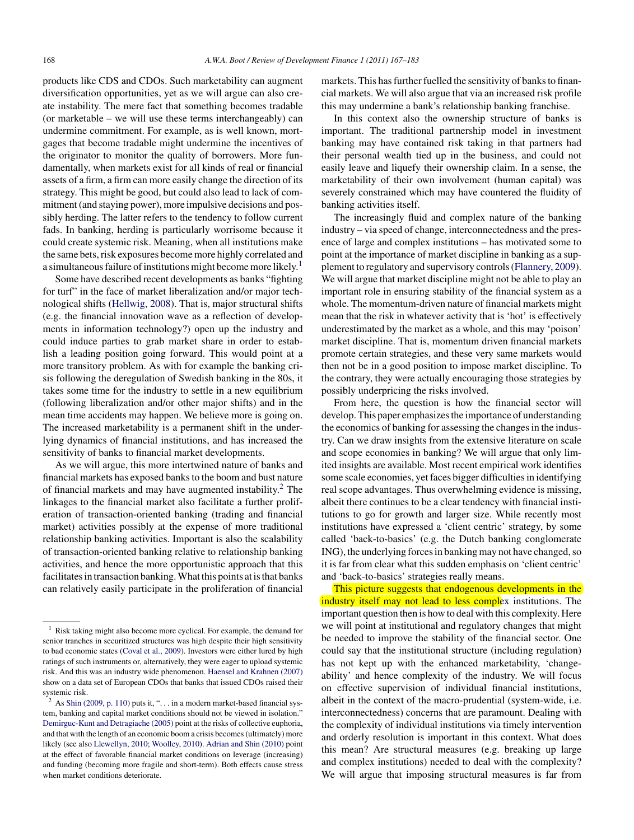products like CDS and CDOs. Such marketability can augment diversification opportunities, yet as we will argue can also create instability. The mere fact that something becomes tradable (or marketable – we will use these terms interchangeably) can undermine commitment. For example, as is well known, mortgages that become tradable might undermine the incentives of the originator to monitor the quality of borrowers. More fundamentally, when markets exist for all kinds of real or financial assets of a firm, a firm can more easily change the direction of its strategy. This might be good, but could also lead to lack of commitment (and staying power), more impulsive decisions and possibly herding. The latter refers to the tendency to follow current fads. In banking, herding is particularly worrisome because it could create systemic risk. Meaning, when all institutions make the same bets, risk exposures become more highly correlated and a simultaneous failure of institutions might become more likely.<sup>1</sup>

Some have described recent developments as banks "fighting for turf" in the face of market liberalization and/or major technological shifts ([Hellwig, 2008\).](#page-16-0) That is, major structural shifts (e.g. the financial innovation wave as a reflection of developments in information technology?) open up the industry and could induce parties to grab market share in order to establish a leading position going forward. This would point at a more transitory problem. As with for example the banking crisis following the deregulation of Swedish banking in the 80s, it takes some time for the industry to settle in a new equilibrium (following liberalization and/or other major shifts) and in the mean time accidents may happen. We believe more is going on. The increased marketability is a permanent shift in the underlying dynamics of financial institutions, and has increased the sensitivity of banks to financial market developments.

As we will argue, this more intertwined nature of banks and financial markets has exposed banks to the boom and bust nature of financial markets and may have augmented instability.<sup>2</sup> The linkages to the financial market also facilitate a further proliferation of transaction-oriented banking (trading and financial market) activities possibly at the expense of more traditional relationship banking activities. Important is also the scalability of transaction-oriented banking relative to relationship banking activities, and hence the more opportunistic approach that this facilitates in transaction banking. What this points at is that banks can relatively easily participate in the proliferation of financial

markets. This has further fuelled the sensitivity of banks to financial markets. We will also argue that via an increased risk profile this may undermine a bank's relationship banking franchise.

In this context also the ownership structure of banks is important. The traditional partnership model in investment banking may have contained risk taking in that partners had their personal wealth tied up in the business, and could not easily leave and liquefy their ownership claim. In a sense, the marketability of their own involvement (human capital) was severely constrained which may have countered the fluidity of banking activities itself.

The increasingly fluid and complex nature of the banking industry – via speed of change, interconnectedness and the presence of large and complex institutions – has motivated some to point at the importance of market discipline in banking as a supplement to regulatory and supervisory controls [\(Flannery, 2009\).](#page-15-0) We will argue that market discipline might not be able to play an important role in ensuring stability of the financial system as a whole. The momentum-driven nature of financial markets might mean that the risk in whatever activity that is 'hot' is effectively underestimated by the market as a whole, and this may 'poison' market discipline. That is, momentum driven financial markets promote certain strategies, and these very same markets would then not be in a good position to impose market discipline. To the contrary, they were actually encouraging those strategies by possibly underpricing the risks involved.

From here, the question is how the financial sector will develop. This paper emphasizes the importance of understanding the economics of banking for assessing the changes in the industry. Can we draw insights from the extensive literature on scale and scope economies in banking? We will argue that only limited insights are available. Most recent empirical work identifies some scale economies, yet faces bigger difficulties in identifying real scope advantages. Thus overwhelming evidence is missing, albeit there continues to be a clear tendency with financial institutions to go for growth and larger size. While recently most institutions have expressed a 'client centric' strategy, by some called 'back-to-basics' (e.g. the Dutch banking conglomerate ING), the underlying forces in banking may not have changed, so it is far from clear what this sudden emphasis on 'client centric' and 'back-to-basics' strategies really means.

This picture suggests that endogenous developments in the industry itself may not lead to less complex institutions. The important question then is how to deal with this complexity. Here we will point at institutional and regulatory changes that might be needed to improve the stability of the financial sector. One could say that the institutional structure (including regulation) has not kept up with the enhanced marketability, 'changeability' and hence complexity of the industry. We will focus on effective supervision of individual financial institutions, albeit in the context of the macro-prudential (system-wide, i.e. interconnectedness) concerns that are paramount. Dealing with the complexity of individual institutions via timely intervention and orderly resolution is important in this context. What does this mean? Are structural measures (e.g. breaking up large and complex institutions) needed to deal with the complexity? We will argue that imposing structural measures is far from

<sup>&</sup>lt;sup>1</sup> Risk taking might also become more cyclical. For example, the demand for senior tranches in securitized structures was high despite their high sensitivity to bad economic states ([Coval et al., 2009\).](#page-15-0) Investors were either lured by high ratings of such instruments or, alternatively, they were eager to upload systemic risk. And this was an industry wide phenomenon. [Haensel and Krahnen \(2007\)](#page-15-0) show on a data set of European CDOs that banks that issued CDOs raised their systemic risk.

 $2^{2}$  As [Shin \(2009, p. 110\)](#page-16-0) puts it, "... in a modern market-based financial system, banking and capital market conditions should not be viewed in isolation." [Demirguc-Kunt and Detragiache \(2005\)](#page-15-0) point at the risks of collective euphoria, and that with the length of an economic boom a crisis becomes (ultimately) more likely (see also [Llewellyn, 2010; Woolley, 2010\).](#page-16-0) [Adrian and Shin \(2010\)](#page-14-0) point at the effect of favorable financial market conditions on leverage (increasing) and funding (becoming more fragile and short-term). Both effects cause stress when market conditions deteriorate.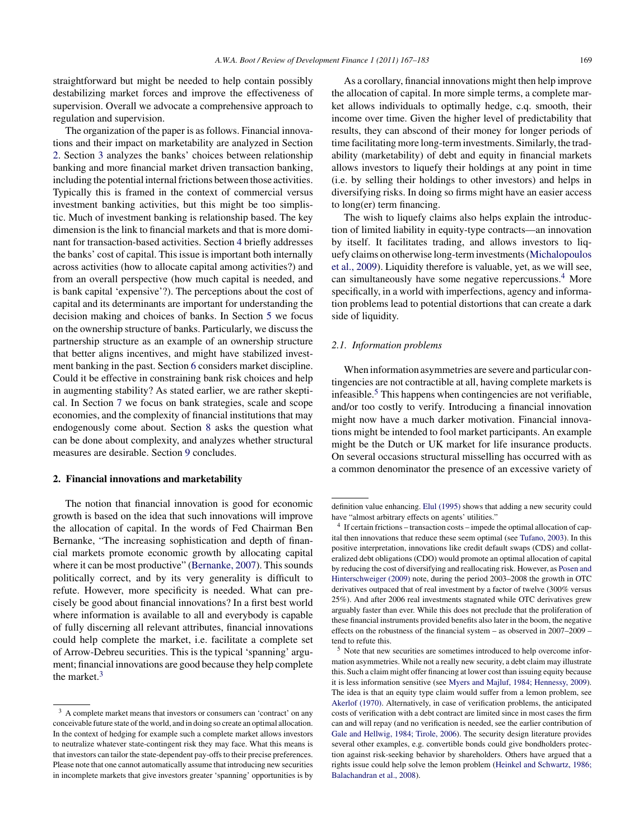straightforward but might be needed to help contain possibly destabilizing market forces and improve the effectiveness of supervision. Overall we advocate a comprehensive approach to regulation and supervision.

The organization of the paper is as follows. Financial innovations and their impact on marketability are analyzed in Section 2. Section [3](#page-4-0) analyzes the banks' choices between relationship banking and more financial market driven transaction banking, including the potential internal frictions between those activities. Typically this is framed in the context of commercial versus investment banking activities, but this might be too simplistic. Much of investment banking is relationship based. The key dimension is the link to financial markets and that is more dominant for transaction-based activities. Section [4](#page-6-0) briefly addresses the banks' cost of capital. This issue is important both internally across activities (how to allocate capital among activities?) and from an overall perspective (how much capital is needed, and is bank capital 'expensive'?). The perceptions about the cost of capital and its determinants are important for understanding the decision making and choices of banks. In Section [5](#page-7-0) we focus on the ownership structure of banks. Particularly, we discuss the partnership structure as an example of an ownership structure that better aligns incentives, and might have stabilized investment banking in the past. Section [6](#page-8-0) considers market discipline. Could it be effective in constraining bank risk choices and help in augmenting stability? As stated earlier, we are rather skeptical. In Section [7](#page-9-0) we focus on bank strategies, scale and scope economies, and the complexity of financial institutions that may endogenously come about. Section [8](#page-11-0) asks the question what can be done about complexity, and analyzes whether structural measures are desirable. Section [9](#page-13-0) concludes.

#### **2. Financial innovations and marketability**

The notion that financial innovation is good for economic growth is based on the idea that such innovations will improve the allocation of capital. In the words of Fed Chairman Ben Bernanke, "The increasing sophistication and depth of financial markets promote economic growth by allocating capital where it can be most productive" [\(Bernanke, 2007\).](#page-15-0) This sounds politically correct, and by its very generality is difficult to refute. However, more specificity is needed. What can precisely be good about financial innovations? In a first best world where information is available to all and everybody is capable of fully discerning all relevant attributes, financial innovations could help complete the market, i.e. facilitate a complete set of Arrow-Debreu securities. This is the typical 'spanning' argument; financial innovations are good because they help complete the market.<sup>3</sup>

As a corollary, financial innovations might then help improve the allocation of capital. In more simple terms, a complete market allows individuals to optimally hedge, c.q. smooth, their income over time. Given the higher level of predictability that results, they can abscond of their money for longer periods of time facilitating more long-term investments. Similarly, the tradability (marketability) of debt and equity in financial markets allows investors to liquefy their holdings at any point in time (i.e. by selling their holdings to other investors) and helps in diversifying risks. In doing so firms might have an easier access to long(er) term financing.

The wish to liquefy claims also helps explain the introduction of limited liability in equity-type contracts—an innovation by itself. It facilitates trading, and allows investors to liquefy claims on otherwise long-term investments ([Michalopoulos](#page-16-0) [et al., 2009\).](#page-16-0) Liquidity therefore is valuable, yet, as we will see, can simultaneously have some negative repercussions.<sup>4</sup> More specifically, in a world with imperfections, agency and information problems lead to potential distortions that can create a dark side of liquidity.

#### *2.1. Information problems*

When information asymmetries are severe and particular contingencies are not contractible at all, having complete markets is infeasible. $5$  This happens when contingencies are not verifiable, and/or too costly to verify. Introducing a financial innovation might now have a much darker motivation. Financial innovations might be intended to fool market participants. An example might be the Dutch or UK market for life insurance products. On several occasions structural misselling has occurred with as a common denominator the presence of an excessive variety of

<sup>&</sup>lt;sup>3</sup> A complete market means that investors or consumers can 'contract' on any conceivable future state of the world, and in doing so create an optimal allocation. In the context of hedging for example such a complete market allows investors to neutralize whatever state-contingent risk they may face. What this means is that investors can tailor the state-dependent pay-offs to their precise preferences. Please note that one cannot automatically assume that introducing new securities in incomplete markets that give investors greater 'spanning' opportunities is by

definition value enhancing. [Elul \(1995\)](#page-15-0) shows that adding a new security could have "almost arbitrary effects on agents' utilities."

<sup>4</sup> If certain frictions – transaction costs – impede the optimal allocation of capital then innovations that reduce these seem optimal (see [Tufano, 2003\).](#page-16-0) In this positive interpretation, innovations like credit default swaps (CDS) and collateralized debt obligations (CDO) would promote an optimal allocation of capital by reducing the cost of diversifying and reallocating risk. However, as [Posen and](#page-16-0) [Hinterschweiger \(2009\)](#page-16-0) note, during the period 2003–2008 the growth in OTC derivatives outpaced that of real investment by a factor of twelve (300% versus 25%). And after 2006 real investments stagnated while OTC derivatives grew arguably faster than ever. While this does not preclude that the proliferation of these financial instruments provided benefits also later in the boom, the negative effects on the robustness of the financial system – as observed in 2007–2009 – tend to refute this.

<sup>5</sup> Note that new securities are sometimes introduced to help overcome information asymmetries. While not a really new security, a debt claim may illustrate this. Such a claim might offer financing at lower cost than issuing equity because it is less information sensitive (see [Myers and Majluf, 1984; Hennessy, 2009\).](#page-16-0) The idea is that an equity type claim would suffer from a lemon problem, see [Akerlof \(1970\). A](#page-14-0)lternatively, in case of verification problems, the anticipated costs of verification with a debt contract are limited since in most cases the firm can and will repay (and no verification is needed, see the earlier contribution of [Gale and Hellwig, 1984; Tirole, 2006\).](#page-15-0) The security design literature provides several other examples, e.g. convertible bonds could give bondholders protection against risk-seeking behavior by shareholders. Others have argued that a rights issue could help solve the lemon problem ([Heinkel and Schwartz, 1986;](#page-16-0) [Balachandran et al., 2008\).](#page-16-0)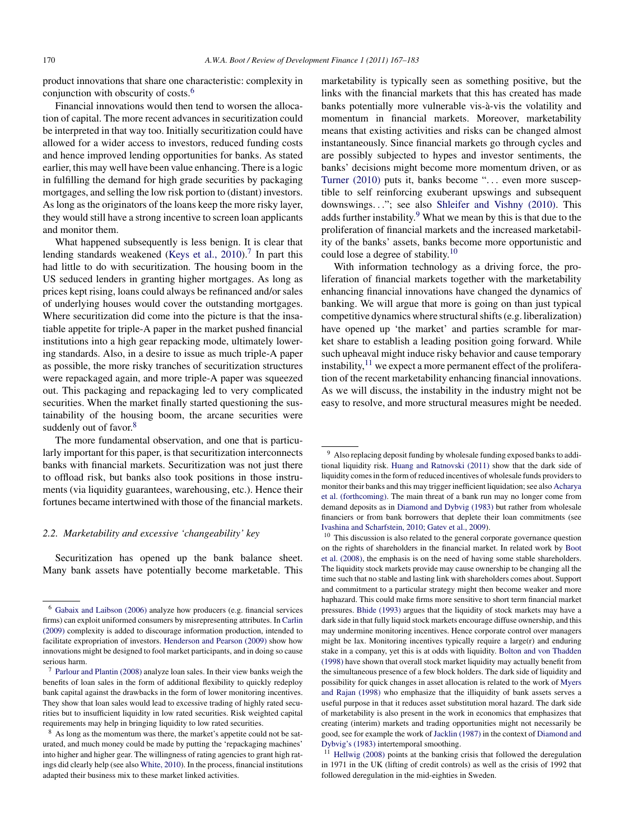product innovations that share one characteristic: complexity in conjunction with obscurity of costs.<sup>6</sup>

Financial innovations would then tend to worsen the allocation of capital. The more recent advances in securitization could be interpreted in that way too. Initially securitization could have allowed for a wider access to investors, reduced funding costs and hence improved lending opportunities for banks. As stated earlier, this may well have been value enhancing. There is a logic in fulfilling the demand for high grade securities by packaging mortgages, and selling the low risk portion to (distant) investors. As long as the originators of the loans keep the more risky layer, they would still have a strong incentive to screen loan applicants and monitor them.

What happened subsequently is less benign. It is clear that lending standards weakened (Keys et al.,  $2010$ ).<sup>7</sup> In part this had little to do with securitization. The housing boom in the US seduced lenders in granting higher mortgages. As long as prices kept rising, loans could always be refinanced and/or sales of underlying houses would cover the outstanding mortgages. Where securitization did come into the picture is that the insatiable appetite for triple-A paper in the market pushed financial institutions into a high gear repacking mode, ultimately lowering standards. Also, in a desire to issue as much triple-A paper as possible, the more risky tranches of securitization structures were repackaged again, and more triple-A paper was squeezed out. This packaging and repackaging led to very complicated securities. When the market finally started questioning the sustainability of the housing boom, the arcane securities were suddenly out of favor.<sup>8</sup>

The more fundamental observation, and one that is particularly important for this paper, is that securitization interconnects banks with financial markets. Securitization was not just there to offload risk, but banks also took positions in those instruments (via liquidity guarantees, warehousing, etc.). Hence their fortunes became intertwined with those of the financial markets.

#### *2.2. Marketability and excessive 'changeability' key*

Securitization has opened up the bank balance sheet. Many bank assets have potentially become marketable. This marketability is typically seen as something positive, but the links with the financial markets that this has created has made banks potentially more vulnerable vis-à-vis the volatility and momentum in financial markets. Moreover, marketability means that existing activities and risks can be changed almost instantaneously. Since financial markets go through cycles and are possibly subjected to hypes and investor sentiments, the banks' decisions might become more momentum driven, or as [Turner \(2010\)](#page-16-0) puts it, banks become "... even more susceptible to self reinforcing exuberant upswings and subsequent downswings..."; see also [Shleifer and Vishny \(2010\).](#page-16-0) This adds further instability.<sup>9</sup> What we mean by this is that due to the proliferation of financial markets and the increased marketability of the banks' assets, banks become more opportunistic and could lose a degree of stability.<sup>10</sup>

With information technology as a driving force, the proliferation of financial markets together with the marketability enhancing financial innovations have changed the dynamics of banking. We will argue that more is going on than just typical competitive dynamics where structural shifts (e.g. liberalization) have opened up 'the market' and parties scramble for market share to establish a leading position going forward. While such upheaval might induce risky behavior and cause temporary instability, $11$  we expect a more permanent effect of the proliferation of the recent marketability enhancing financial innovations. As we will discuss, the instability in the industry might not be easy to resolve, and more structural measures might be needed.

 $11$  [Hellwig \(2008\)](#page-16-0) points at the banking crisis that followed the deregulation in 1971 in the UK (lifting of credit controls) as well as the crisis of 1992 that followed deregulation in the mid-eighties in Sweden.

<sup>6</sup> [Gabaix and Laibson \(2006\)](#page-15-0) analyze how producers (e.g. financial services firms) can exploit uniformed consumers by misrepresenting attributes. In [Carlin](#page-15-0) [\(2009\)](#page-15-0) complexity is added to discourage information production, intended to facilitate expropriation of investors. [Henderson and Pearson \(2009\)](#page-16-0) show how innovations might be designed to fool market participants, and in doing so cause serious harm.

<sup>7</sup> [Parlour and Plantin \(2008\)](#page-16-0) analyze loan sales. In their view banks weigh the benefits of loan sales in the form of additional flexibility to quickly redeploy bank capital against the drawbacks in the form of lower monitoring incentives. They show that loan sales would lead to excessive trading of highly rated securities but to insufficient liquidity in low rated securities. Risk weighted capital requirements may help in bringing liquidity to low rated securities.

<sup>&</sup>lt;sup>8</sup> As long as the momentum was there, the market's appetite could not be saturated, and much money could be made by putting the 'repackaging machines' into higher and higher gear. The willingness of rating agencies to grant high ratings did clearly help (see also [White, 2010\).](#page-16-0) In the process, financial institutions adapted their business mix to these market linked activities.

<sup>9</sup> Also replacing deposit funding by wholesale funding exposed banks to additional liquidity risk. [Huang and Ratnovski \(2011\)](#page-16-0) show that the dark side of liquidity comes in the form of reduced incentives of wholesale funds providers to monitor their banks and this may trigger inefficient liquidation; see also [Acharya](#page-14-0) [et al. \(forthcoming\). T](#page-14-0)he main threat of a bank run may no longer come from demand deposits as in [Diamond and Dybvig \(1983\)](#page-15-0) but rather from wholesale financiers or from bank borrowers that deplete their loan commitments (see [Ivashina and Scharfstein, 2010; Gatev et al., 2009\).](#page-16-0)

<sup>&</sup>lt;sup>10</sup> This discussion is also related to the general corporate governance question on the rights of shareholders in the financial market. In related work by [Boot](#page-15-0) [et al. \(2008\), t](#page-15-0)he emphasis is on the need of having some stable shareholders. The liquidity stock markets provide may cause ownership to be changing all the time such that no stable and lasting link with shareholders comes about. Support and commitment to a particular strategy might then become weaker and more haphazard. This could make firms more sensitive to short term financial market pressures. [Bhide \(1993\)](#page-15-0) argues that the liquidity of stock markets may have a dark side in that fully liquid stock markets encourage diffuse ownership, and this may undermine monitoring incentives. Hence corporate control over managers might be lax. Monitoring incentives typically require a large(r) and enduring stake in a company, yet this is at odds with liquidity. [Bolton and von Thadden](#page-15-0) [\(1998\)](#page-15-0) have shown that overall stock market liquidity may actually benefit from the simultaneous presence of a few block holders. The dark side of liquidity and possibility for quick changes in asset allocation is related to the work of [Myers](#page-16-0) [and Rajan \(1998\)](#page-16-0) who emphasize that the illiquidity of bank assets serves a useful purpose in that it reduces asset substitution moral hazard. The dark side of marketability is also present in the work in economics that emphasizes that creating (interim) markets and trading opportunities might not necessarily be good, see for example the work of [Jacklin \(1987\)](#page-16-0) in the context of [Diamond and](#page-15-0) [Dybvig's \(1983\)](#page-15-0) intertemporal smoothing.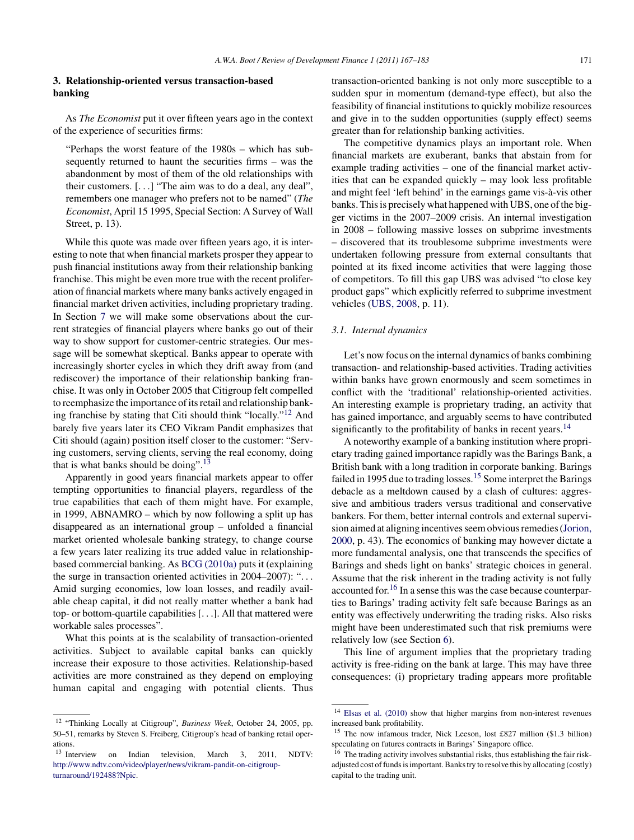## <span id="page-4-0"></span>**3. Relationship-oriented versus transaction-based banking**

As *The Economist* put it over fifteen years ago in the context of the experience of securities firms:

"Perhaps the worst feature of the 1980s – which has subsequently returned to haunt the securities firms – was the abandonment by most of them of the old relationships with their customers. [...] "The aim was to do a deal, any deal", remembers one manager who prefers not to be named" (*The Economist*, April 15 1995, Special Section: A Survey of Wall Street, p. 13).

While this quote was made over fifteen years ago, it is interesting to note that when financial markets prosper they appear to push financial institutions away from their relationship banking franchise. This might be even more true with the recent proliferation of financial markets where many banks actively engaged in financial market driven activities, including proprietary trading. In Section [7](#page-9-0) we will make some observations about the current strategies of financial players where banks go out of their way to show support for customer-centric strategies. Our message will be somewhat skeptical. Banks appear to operate with increasingly shorter cycles in which they drift away from (and rediscover) the importance of their relationship banking franchise. It was only in October 2005 that Citigroup felt compelled to reemphasize the importance of its retail and relationship banking franchise by stating that Citi should think "locally."<sup>12</sup> And barely five years later its CEO Vikram Pandit emphasizes that Citi should (again) position itself closer to the customer: "Serving customers, serving clients, serving the real economy, doing that is what banks should be doing".<sup>13</sup>

Apparently in good years financial markets appear to offer tempting opportunities to financial players, regardless of the true capabilities that each of them might have. For example, in 1999, ABNAMRO – which by now following a split up has disappeared as an international group – unfolded a financial market oriented wholesale banking strategy, to change course a few years later realizing its true added value in relationshipbased commercial banking. As [BCG \(2010a\)](#page-14-0) puts it (explaining the surge in transaction oriented activities in 2004–2007): "... Amid surging economies, low loan losses, and readily available cheap capital, it did not really matter whether a bank had top- or bottom-quartile capabilities [...]. All that mattered were workable sales processes".

What this points at is the scalability of transaction-oriented activities. Subject to available capital banks can quickly increase their exposure to those activities. Relationship-based activities are more constrained as they depend on employing human capital and engaging with potential clients. Thus transaction-oriented banking is not only more susceptible to a sudden spur in momentum (demand-type effect), but also the feasibility of financial institutions to quickly mobilize resources and give in to the sudden opportunities (supply effect) seems greater than for relationship banking activities.

The competitive dynamics plays an important role. When financial markets are exuberant, banks that abstain from for example trading activities – one of the financial market activities that can be expanded quickly – may look less profitable and might feel 'left behind' in the earnings game vis-à-vis other banks. This is precisely what happened with UBS, one of the bigger victims in the 2007–2009 crisis. An internal investigation in 2008 – following massive losses on subprime investments – discovered that its troublesome subprime investments were undertaken following pressure from external consultants that pointed at its fixed income activities that were lagging those of competitors. To fill this gap UBS was advised "to close key product gaps" which explicitly referred to subprime investment vehicles ([UBS, 2008,](#page-16-0) p. 11).

#### *3.1. Internal dynamics*

Let's now focus on the internal dynamics of banks combining transaction- and relationship-based activities. Trading activities within banks have grown enormously and seem sometimes in conflict with the 'traditional' relationship-oriented activities. An interesting example is proprietary trading, an activity that has gained importance, and arguably seems to have contributed significantly to the profitability of banks in recent years.<sup>14</sup>

A noteworthy example of a banking institution where proprietary trading gained importance rapidly was the Barings Bank, a British bank with a long tradition in corporate banking. Barings failed in 1995 due to trading losses.<sup>15</sup> Some interpret the Barings debacle as a meltdown caused by a clash of cultures: aggressive and ambitious traders versus traditional and conservative bankers. For them, better internal controls and external supervision aimed at aligning incentives seem obvious remedies [\(Jorion,](#page-16-0) [2000, p](#page-16-0). 43). The economics of banking may however dictate a more fundamental analysis, one that transcends the specifics of Barings and sheds light on banks' strategic choices in general. Assume that the risk inherent in the trading activity is not fully accounted for.<sup>16</sup> In a sense this was the case because counterparties to Barings' trading activity felt safe because Barings as an entity was effectively underwriting the trading risks. Also risks might have been underestimated such that risk premiums were relatively low (see Section [6\).](#page-8-0)

This line of argument implies that the proprietary trading activity is free-riding on the bank at large. This may have three consequences: (i) proprietary trading appears more profitable

<sup>12</sup> "Thinking Locally at Citigroup", *Business Week*, October 24, 2005, pp. 50–51, remarks by Steven S. Freiberg, Citigroup's head of banking retail operations.

<sup>&</sup>lt;sup>13</sup> Interview on Indian television, March 3, 2011, NDTV: [http://www.ndtv.com/video/player/news/vikram-pandit-on-citigroup](http://www.ndtv.com/video/player/news/vikram-pandit-on-citigroup-turnaround/192488%3FNpic)turnaround/192488?Npic.

<sup>14</sup> [Elsas et al. \(2010\)](#page-15-0) show that higher margins from non-interest revenues increased bank profitability.

<sup>15</sup> The now infamous trader, Nick Leeson, lost £827 million (\$1.3 billion) speculating on futures contracts in Barings' Singapore office.

<sup>&</sup>lt;sup>16</sup> The trading activity involves substantial risks, thus establishing the fair riskadjusted cost of funds is important. Banks try to resolve this by allocating (costly) capital to the trading unit.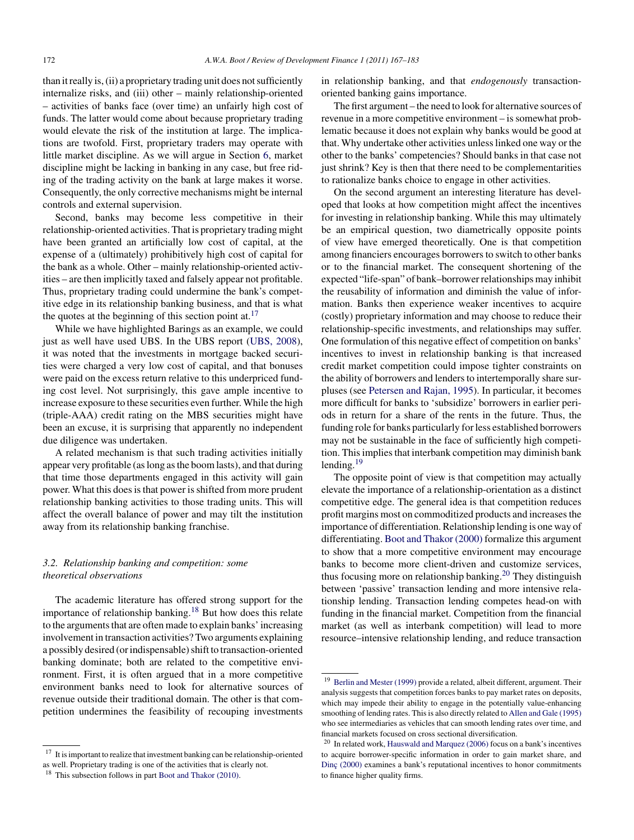than it really is, (ii) a proprietary trading unit does not sufficiently internalize risks, and (iii) other – mainly relationship-oriented – activities of banks face (over time) an unfairly high cost of funds. The latter would come about because proprietary trading would elevate the risk of the institution at large. The implications are twofold. First, proprietary traders may operate with little market discipline. As we will argue in Section [6,](#page-8-0) market discipline might be lacking in banking in any case, but free riding of the trading activity on the bank at large makes it worse. Consequently, the only corrective mechanisms might be internal controls and external supervision.

Second, banks may become less competitive in their relationship-oriented activities. That is proprietary trading might have been granted an artificially low cost of capital, at the expense of a (ultimately) prohibitively high cost of capital for the bank as a whole. Other – mainly relationship-oriented activities – are then implicitly taxed and falsely appear not profitable. Thus, proprietary trading could undermine the bank's competitive edge in its relationship banking business, and that is what the quotes at the beginning of this section point at.<sup>17</sup>

While we have highlighted Barings as an example, we could just as well have used UBS. In the UBS report ([UBS, 2008\),](#page-16-0) it was noted that the investments in mortgage backed securities were charged a very low cost of capital, and that bonuses were paid on the excess return relative to this underpriced funding cost level. Not surprisingly, this gave ample incentive to increase exposure to these securities even further. While the high (triple-AAA) credit rating on the MBS securities might have been an excuse, it is surprising that apparently no independent due diligence was undertaken.

A related mechanism is that such trading activities initially appear very profitable (as long as the boom lasts), and that during that time those departments engaged in this activity will gain power. What this does is that power is shifted from more prudent relationship banking activities to those trading units. This will affect the overall balance of power and may tilt the institution away from its relationship banking franchise.

# *3.2. Relationship banking and competition: some theoretical observations*

The academic literature has offered strong support for the importance of relationship banking.<sup>18</sup> But how does this relate to the arguments that are often made to explain banks' increasing involvement in transaction activities? Two arguments explaining a possibly desired (or indispensable) shift to transaction-oriented banking dominate; both are related to the competitive environment. First, it is often argued that in a more competitive environment banks need to look for alternative sources of revenue outside their traditional domain. The other is that competition undermines the feasibility of recouping investments in relationship banking, and that *endogenously* transactionoriented banking gains importance.

The first argument – the need to look for alternative sources of revenue in a more competitive environment – is somewhat problematic because it does not explain why banks would be good at that. Why undertake other activities unless linked one way or the other to the banks' competencies? Should banks in that case not just shrink? Key is then that there need to be complementarities to rationalize banks choice to engage in other activities.

On the second argument an interesting literature has developed that looks at how competition might affect the incentives for investing in relationship banking. While this may ultimately be an empirical question, two diametrically opposite points of view have emerged theoretically. One is that competition among financiers encourages borrowers to switch to other banks or to the financial market. The consequent shortening of the expected "life-span" of bank–borrower relationships may inhibit the reusability of information and diminish the value of information. Banks then experience weaker incentives to acquire (costly) proprietary information and may choose to reduce their relationship-specific investments, and relationships may suffer. One formulation of this negative effect of competition on banks' incentives to invest in relationship banking is that increased credit market competition could impose tighter constraints on the ability of borrowers and lenders to intertemporally share surpluses (see [Petersen and Rajan, 1995\).](#page-16-0) In particular, it becomes more difficult for banks to 'subsidize' borrowers in earlier periods in return for a share of the rents in the future. Thus, the funding role for banks particularly for less established borrowers may not be sustainable in the face of sufficiently high competition. This implies that interbank competition may diminish bank lending.<sup>19</sup>

The opposite point of view is that competition may actually elevate the importance of a relationship-orientation as a distinct competitive edge. The general idea is that competition reduces profit margins most on commoditized products and increases the importance of differentiation. Relationship lending is one way of differentiating. [Boot and Thakor \(2000\)](#page-15-0) formalize this argument to show that a more competitive environment may encourage banks to become more client-driven and customize services, thus focusing more on relationship banking.<sup>20</sup> They distinguish between 'passive' transaction lending and more intensive relationship lending. Transaction lending competes head-on with funding in the financial market. Competition from the financial market (as well as interbank competition) will lead to more resource–intensive relationship lending, and reduce transaction

<sup>&</sup>lt;sup>17</sup> It is important to realize that investment banking can be relationship-oriented as well. Proprietary trading is one of the activities that is clearly not.

<sup>&</sup>lt;sup>18</sup> This subsection follows in part [Boot and Thakor \(2010\).](#page-15-0)

<sup>&</sup>lt;sup>19</sup> [Berlin and Mester \(1999\)](#page-15-0) provide a related, albeit different, argument. Their analysis suggests that competition forces banks to pay market rates on deposits, which may impede their ability to engage in the potentially value-enhancing smoothing of lending rates. This is also directly related to [Allen and Gale \(1995\)](#page-14-0) who see intermediaries as vehicles that can smooth lending rates over time, and financial markets focused on cross sectional diversification.

 $20$  In related work, [Hauswald and Marquez \(2006\)](#page-16-0) focus on a bank's incentives to acquire borrower-specific information in order to gain market share, and Dinc (2000) examines a bank's reputational incentives to honor commitments to finance higher quality firms.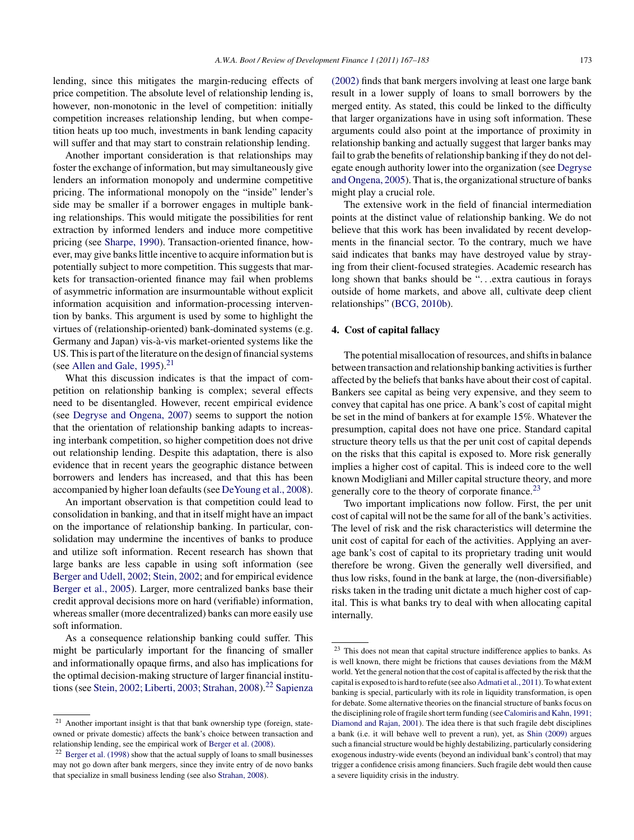<span id="page-6-0"></span>lending, since this mitigates the margin-reducing effects of price competition. The absolute level of relationship lending is, however, non-monotonic in the level of competition: initially competition increases relationship lending, but when competition heats up too much, investments in bank lending capacity will suffer and that may start to constrain relationship lending.

Another important consideration is that relationships may foster the exchange of information, but may simultaneously give lenders an information monopoly and undermine competitive pricing. The informational monopoly on the "inside" lender's side may be smaller if a borrower engages in multiple banking relationships. This would mitigate the possibilities for rent extraction by informed lenders and induce more competitive pricing (see [Sharpe, 1990\).](#page-16-0) Transaction-oriented finance, however, may give banks little incentive to acquire information but is potentially subject to more competition. This suggests that markets for transaction-oriented finance may fail when problems of asymmetric information are insurmountable without explicit information acquisition and information-processing intervention by banks. This argument is used by some to highlight the virtues of (relationship-oriented) bank-dominated systems (e.g. Germany and Japan) vis-à-vis market-oriented systems like the US. This is part of the literature on the design of financial systems (see Allen and Gale,  $1995$ ).<sup>21</sup>

What this discussion indicates is that the impact of competition on relationship banking is complex; several effects need to be disentangled. However, recent empirical evidence (see [Degryse and Ongena, 2007\)](#page-15-0) seems to support the notion that the orientation of relationship banking adapts to increasing interbank competition, so higher competition does not drive out relationship lending. Despite this adaptation, there is also evidence that in recent years the geographic distance between borrowers and lenders has increased, and that this has been accompanied by higher loan defaults (see [DeYoung et al., 2008\).](#page-15-0)

An important observation is that competition could lead to consolidation in banking, and that in itself might have an impact on the importance of relationship banking. In particular, consolidation may undermine the incentives of banks to produce and utilize soft information. Recent research has shown that large banks are less capable in using soft information (see [Berger and Udell, 2002; Stein, 2002; a](#page-15-0)nd for empirical evidence [Berger et al., 2005\).](#page-15-0) Larger, more centralized banks base their credit approval decisions more on hard (verifiable) information, whereas smaller (more decentralized) banks can more easily use soft information.

As a consequence relationship banking could suffer. This might be particularly important for the financing of smaller and informationally opaque firms, and also has implications for the optimal decision-making structure of larger financial institu-tions (see [Stein, 2002; Liberti, 2003; Strahan, 2008\).](#page-16-0)<sup>22</sup> [Sapienza](#page-16-0)

[\(2002\)](#page-16-0) finds that bank mergers involving at least one large bank result in a lower supply of loans to small borrowers by the merged entity. As stated, this could be linked to the difficulty that larger organizations have in using soft information. These arguments could also point at the importance of proximity in relationship banking and actually suggest that larger banks may fail to grab the benefits of relationship banking if they do not delegate enough authority lower into the organization (see [Degryse](#page-15-0) [and Ongena, 2005\).](#page-15-0) That is, the organizational structure of banks might play a crucial role.

The extensive work in the field of financial intermediation points at the distinct value of relationship banking. We do not believe that this work has been invalidated by recent developments in the financial sector. To the contrary, much we have said indicates that banks may have destroyed value by straying from their client-focused strategies. Academic research has long shown that banks should be "...extra cautious in forays outside of home markets, and above all, cultivate deep client relationships" ([BCG, 2010b\).](#page-14-0)

## **4. Cost of capital fallacy**

The potential misallocation of resources, and shifts in balance between transaction and relationship banking activities is further affected by the beliefs that banks have about their cost of capital. Bankers see capital as being very expensive, and they seem to convey that capital has one price. A bank's cost of capital might be set in the mind of bankers at for example 15%. Whatever the presumption, capital does not have one price. Standard capital structure theory tells us that the per unit cost of capital depends on the risks that this capital is exposed to. More risk generally implies a higher cost of capital. This is indeed core to the well known Modigliani and Miller capital structure theory, and more generally core to the theory of corporate finance.<sup>23</sup>

Two important implications now follow. First, the per unit cost of capital will not be the same for all of the bank's activities. The level of risk and the risk characteristics will determine the unit cost of capital for each of the activities. Applying an average bank's cost of capital to its proprietary trading unit would therefore be wrong. Given the generally well diversified, and thus low risks, found in the bank at large, the (non-diversifiable) risks taken in the trading unit dictate a much higher cost of capital. This is what banks try to deal with when allocating capital internally.

<sup>&</sup>lt;sup>21</sup> Another important insight is that that bank ownership type (foreign, stateowned or private domestic) affects the bank's choice between transaction and relationship lending, see the empirical work of [Berger et al. \(2008\).](#page-15-0)

 $22$  [Berger et al. \(1998\)](#page-15-0) show that the actual supply of loans to small businesses may not go down after bank mergers, since they invite entry of de novo banks that specialize in small business lending (see also [Strahan, 2008\).](#page-16-0)

<sup>23</sup> This does not mean that capital structure indifference applies to banks. As is well known, there might be frictions that causes deviations from the M&M world. Yet the general notion that the cost of capital is affected by the risk that the capital is exposed to is hard to refute (see also [Admati et al., 2011\).](#page-14-0) To what extent banking is special, particularly with its role in liquidity transformation, is open for debate. Some alternative theories on the financial structure of banks focus on the disciplining role of fragile short term funding (see [Calomiris and Kahn, 1991;](#page-15-0) [Diamond and Rajan, 2001\).](#page-15-0) The idea there is that such fragile debt disciplines a bank (i.e. it will behave well to prevent a run), yet, as [Shin \(2009\)](#page-16-0) argues such a financial structure would be highly destabilizing, particularly considering exogenous industry-wide events (beyond an individual bank's control) that may trigger a confidence crisis among financiers. Such fragile debt would then cause a severe liquidity crisis in the industry.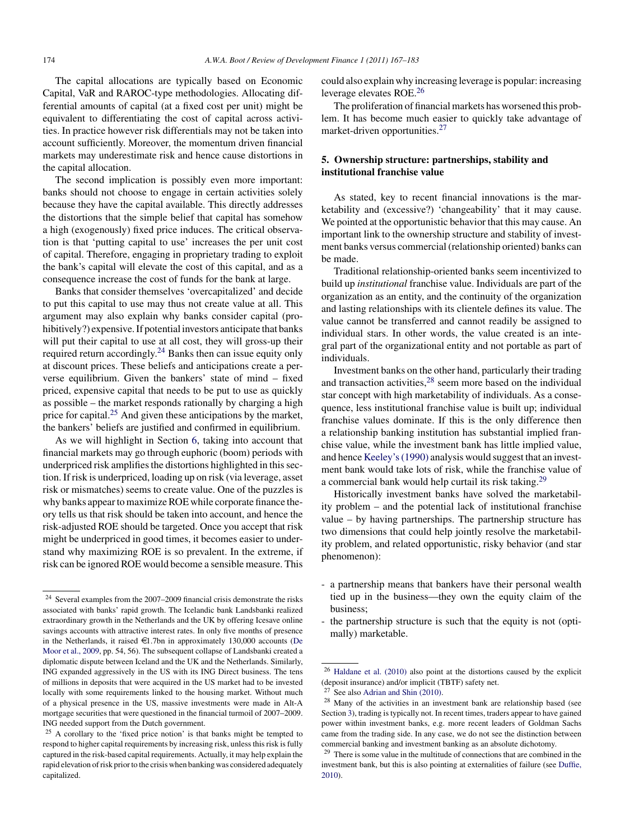<span id="page-7-0"></span>The capital allocations are typically based on Economic Capital, VaR and RAROC-type methodologies. Allocating differential amounts of capital (at a fixed cost per unit) might be equivalent to differentiating the cost of capital across activities. In practice however risk differentials may not be taken into account sufficiently. Moreover, the momentum driven financial markets may underestimate risk and hence cause distortions in the capital allocation.

The second implication is possibly even more important: banks should not choose to engage in certain activities solely because they have the capital available. This directly addresses the distortions that the simple belief that capital has somehow a high (exogenously) fixed price induces. The critical observation is that 'putting capital to use' increases the per unit cost of capital. Therefore, engaging in proprietary trading to exploit the bank's capital will elevate the cost of this capital, and as a consequence increase the cost of funds for the bank at large.

Banks that consider themselves 'overcapitalized' and decide to put this capital to use may thus not create value at all. This argument may also explain why banks consider capital (prohibitively?) expensive. If potential investors anticipate that banks will put their capital to use at all cost, they will gross-up their required return accordingly.<sup>24</sup> Banks then can issue equity only at discount prices. These beliefs and anticipations create a perverse equilibrium. Given the bankers' state of mind – fixed priced, expensive capital that needs to be put to use as quickly as possible – the market responds rationally by charging a high price for capital.<sup>25</sup> And given these anticipations by the market, the bankers' beliefs are justified and confirmed in equilibrium.

As we will highlight in Section [6,](#page-8-0) taking into account that financial markets may go through euphoric (boom) periods with underpriced risk amplifies the distortions highlighted in this section. If risk is underpriced, loading up on risk (via leverage, asset risk or mismatches) seems to create value. One of the puzzles is why banks appear to maximize ROE while corporate finance theory tells us that risk should be taken into account, and hence the risk-adjusted ROE should be targeted. Once you accept that risk might be underpriced in good times, it becomes easier to understand why maximizing ROE is so prevalent. In the extreme, if risk can be ignored ROE would become a sensible measure. This could also explain why increasing leverage is popular: increasing leverage elevates ROE.<sup>26</sup>

The proliferation of financial markets has worsened this problem. It has become much easier to quickly take advantage of market-driven opportunities.<sup>27</sup>

# **5. Ownership structure: partnerships, stability and institutional franchise value**

As stated, key to recent financial innovations is the marketability and (excessive?) 'changeability' that it may cause. We pointed at the opportunistic behavior that this may cause. An important link to the ownership structure and stability of investment banks versus commercial (relationship oriented) banks can be made.

Traditional relationship-oriented banks seem incentivized to build up *institutional* franchise value. Individuals are part of the organization as an entity, and the continuity of the organization and lasting relationships with its clientele defines its value. The value cannot be transferred and cannot readily be assigned to individual stars. In other words, the value created is an integral part of the organizational entity and not portable as part of individuals.

Investment banks on the other hand, particularly their trading and transaction activities,<sup>28</sup> seem more based on the individual star concept with high marketability of individuals. As a consequence, less institutional franchise value is built up; individual franchise values dominate. If this is the only difference then a relationship banking institution has substantial implied franchise value, while the investment bank has little implied value, and hence [Keeley's \(1990\)](#page-16-0) analysis would suggest that an investment bank would take lots of risk, while the franchise value of a commercial bank would help curtail its risk taking.<sup>29</sup>

Historically investment banks have solved the marketability problem – and the potential lack of institutional franchise value – by having partnerships. The partnership structure has two dimensions that could help jointly resolve the marketability problem, and related opportunistic, risky behavior (and star phenomenon):

- a partnership means that bankers have their personal wealth tied up in the business—they own the equity claim of the business;
- the partnership structure is such that the equity is not (optimally) marketable.

<sup>24</sup> Several examples from the 2007–2009 financial crisis demonstrate the risks associated with banks' rapid growth. The Icelandic bank Landsbanki realized extraordinary growth in the Netherlands and the UK by offering Icesave online savings accounts with attractive interest rates. In only five months of presence in the Netherlands, it raised  $\in$ 1.7bn in approximately 130,000 accounts ([De](#page-15-0) [Moor et al., 2009, p](#page-15-0)p. 54, 56). The subsequent collapse of Landsbanki created a diplomatic dispute between Iceland and the UK and the Netherlands. Similarly, ING expanded aggressively in the US with its ING Direct business. The tens of millions in deposits that were acquired in the US market had to be invested locally with some requirements linked to the housing market. Without much of a physical presence in the US, massive investments were made in Alt-A mortgage securities that were questioned in the financial turmoil of 2007–2009. ING needed support from the Dutch government.

<sup>25</sup> A corollary to the 'fixed price notion' is that banks might be tempted to respond to higher capital requirements by increasing risk, unless this risk is fully captured in the risk-based capital requirements. Actually, it may help explain the rapid elevation of risk prior to the crisis when banking was considered adequately capitalized.

 $26$  [Haldane et al. \(2010\)](#page-16-0) also point at the distortions caused by the explicit (deposit insurance) and/or implicit (TBTF) safety net.

 $27$  See also [Adrian and Shin \(2010\).](#page-14-0)

<sup>&</sup>lt;sup>28</sup> Many of the activities in an investment bank are relationship based (see Section [3\),](#page-4-0) trading is typically not. In recent times, traders appear to have gained power within investment banks, e.g. more recent leaders of Goldman Sachs came from the trading side. In any case, we do not see the distinction between commercial banking and investment banking as an absolute dichotomy.

 $29$  There is some value in the multitude of connections that are combined in the investment bank, but this is also pointing at externalities of failure (see [Duffie,](#page-15-0) [2010\).](#page-15-0)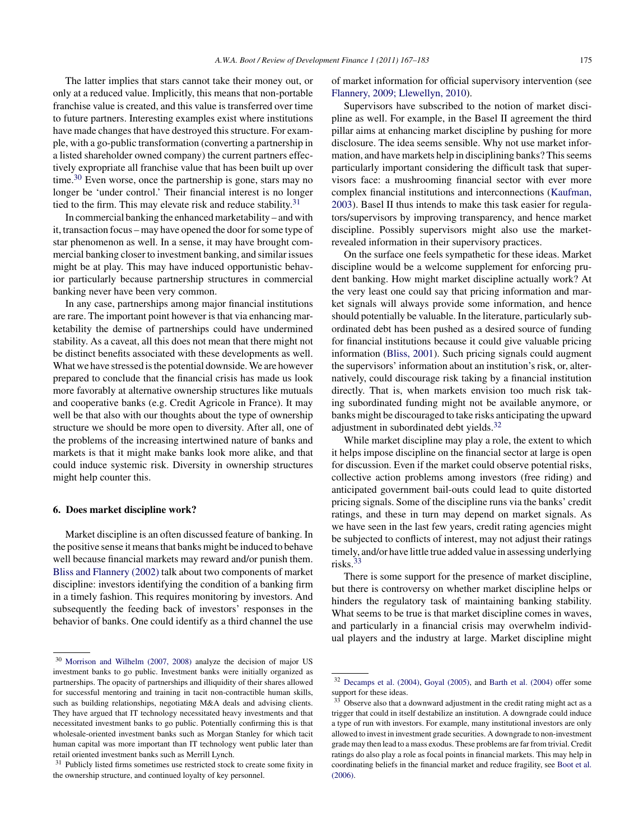<span id="page-8-0"></span>The latter implies that stars cannot take their money out, or only at a reduced value. Implicitly, this means that non-portable franchise value is created, and this value is transferred over time to future partners. Interesting examples exist where institutions have made changes that have destroyed this structure. For example, with a go-public transformation (converting a partnership in a listed shareholder owned company) the current partners effectively expropriate all franchise value that has been built up over time. $30$  Even worse, once the partnership is gone, stars may no longer be 'under control.' Their financial interest is no longer tied to the firm. This may elevate risk and reduce stability.<sup>31</sup>

In commercial banking the enhanced marketability – and with it, transaction focus – may have opened the door for some type of star phenomenon as well. In a sense, it may have brought commercial banking closer to investment banking, and similar issues might be at play. This may have induced opportunistic behavior particularly because partnership structures in commercial banking never have been very common.

In any case, partnerships among major financial institutions are rare. The important point however is that via enhancing marketability the demise of partnerships could have undermined stability. As a caveat, all this does not mean that there might not be distinct benefits associated with these developments as well. What we have stressed is the potential downside. We are however prepared to conclude that the financial crisis has made us look more favorably at alternative ownership structures like mutuals and cooperative banks (e.g. Credit Agricole in France). It may well be that also with our thoughts about the type of ownership structure we should be more open to diversity. After all, one of the problems of the increasing intertwined nature of banks and markets is that it might make banks look more alike, and that could induce systemic risk. Diversity in ownership structures might help counter this.

#### **6. Does market discipline work?**

Market discipline is an often discussed feature of banking. In the positive sense it means that banks might be induced to behave well because financial markets may reward and/or punish them. [Bliss and Flannery \(2002\)](#page-15-0) talk about two components of market discipline: investors identifying the condition of a banking firm in a timely fashion. This requires monitoring by investors. And subsequently the feeding back of investors' responses in the behavior of banks. One could identify as a third channel the use

of market information for official supervisory intervention (see [Flannery, 2009; Llewellyn, 2010\).](#page-15-0)

Supervisors have subscribed to the notion of market discipline as well. For example, in the Basel II agreement the third pillar aims at enhancing market discipline by pushing for more disclosure. The idea seems sensible. Why not use market information, and have markets help in disciplining banks? This seems particularly important considering the difficult task that supervisors face: a mushrooming financial sector with ever more complex financial institutions and interconnections [\(Kaufman,](#page-16-0) [2003\).](#page-16-0) Basel II thus intends to make this task easier for regulators/supervisors by improving transparency, and hence market discipline. Possibly supervisors might also use the marketrevealed information in their supervisory practices.

On the surface one feels sympathetic for these ideas. Market discipline would be a welcome supplement for enforcing prudent banking. How might market discipline actually work? At the very least one could say that pricing information and market signals will always provide some information, and hence should potentially be valuable. In the literature, particularly subordinated debt has been pushed as a desired source of funding for financial institutions because it could give valuable pricing information ([Bliss, 2001\).](#page-15-0) Such pricing signals could augment the supervisors' information about an institution's risk, or, alternatively, could discourage risk taking by a financial institution directly. That is, when markets envision too much risk taking subordinated funding might not be available anymore, or banks might be discouraged to take risks anticipating the upward adjustment in subordinated debt yields.<sup>32</sup>

While market discipline may play a role, the extent to which it helps impose discipline on the financial sector at large is open for discussion. Even if the market could observe potential risks, collective action problems among investors (free riding) and anticipated government bail-outs could lead to quite distorted pricing signals. Some of the discipline runs via the banks' credit ratings, and these in turn may depend on market signals. As we have seen in the last few years, credit rating agencies might be subjected to conflicts of interest, may not adjust their ratings timely, and/or have little true added value in assessing underlying risks.<sup>33</sup>

There is some support for the presence of market discipline, but there is controversy on whether market discipline helps or hinders the regulatory task of maintaining banking stability. What seems to be true is that market discipline comes in waves, and particularly in a financial crisis may overwhelm individual players and the industry at large. Market discipline might

<sup>30</sup> [Morrison and Wilhelm \(2007, 2008\)](#page-16-0) analyze the decision of major US investment banks to go public. Investment banks were initially organized as partnerships. The opacity of partnerships and illiquidity of their shares allowed for successful mentoring and training in tacit non-contractible human skills, such as building relationships, negotiating M&A deals and advising clients. They have argued that IT technology necessitated heavy investments and that necessitated investment banks to go public. Potentially confirming this is that wholesale-oriented investment banks such as Morgan Stanley for which tacit human capital was more important than IT technology went public later than retail oriented investment banks such as Merrill Lynch.

<sup>&</sup>lt;sup>31</sup> Publicly listed firms sometimes use restricted stock to create some fixity in the ownership structure, and continued loyalty of key personnel.

<sup>32</sup> [Decamps et al. \(2004\),](#page-15-0) [Goyal \(2005\), a](#page-15-0)nd [Barth et al. \(2004\)](#page-14-0) offer some support for these ideas.

 $33$  Observe also that a downward adjustment in the credit rating might act as a trigger that could in itself destabilize an institution. A downgrade could induce a type of run with investors. For example, many institutional investors are only allowed to invest in investment grade securities. A downgrade to non-investment grade may then lead to a mass exodus. These problems are far from trivial. Credit ratings do also play a role as focal points in financial markets. This may help in coordinating beliefs in the financial market and reduce fragility, see [Boot et al.](#page-15-0) [\(2006\).](#page-15-0)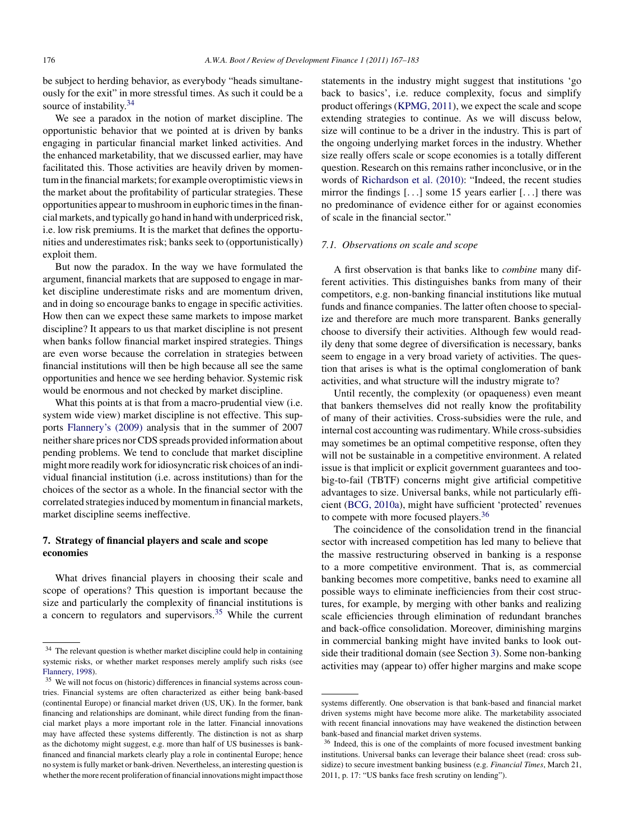<span id="page-9-0"></span>be subject to herding behavior, as everybody "heads simultaneously for the exit" in more stressful times. As such it could be a source of instability.<sup>34</sup>

We see a paradox in the notion of market discipline. The opportunistic behavior that we pointed at is driven by banks engaging in particular financial market linked activities. And the enhanced marketability, that we discussed earlier, may have facilitated this. Those activities are heavily driven by momentum in the financial markets; for example overoptimistic views in the market about the profitability of particular strategies. These opportunities appear to mushroom in euphoric times in the financial markets, and typically go hand in hand with underpriced risk, i.e. low risk premiums. It is the market that defines the opportunities and underestimates risk; banks seek to (opportunistically) exploit them.

But now the paradox. In the way we have formulated the argument, financial markets that are supposed to engage in market discipline underestimate risks and are momentum driven, and in doing so encourage banks to engage in specific activities. How then can we expect these same markets to impose market discipline? It appears to us that market discipline is not present when banks follow financial market inspired strategies. Things are even worse because the correlation in strategies between financial institutions will then be high because all see the same opportunities and hence we see herding behavior. Systemic risk would be enormous and not checked by market discipline.

What this points at is that from a macro-prudential view *(i.e.*) system wide view) market discipline is not effective. This supports [Flannery's \(2009\)](#page-15-0) analysis that in the summer of 2007 neither share prices nor CDS spreads provided information about pending problems. We tend to conclude that market discipline might more readily work for idiosyncratic risk choices of an individual financial institution (i.e. across institutions) than for the choices of the sector as a whole. In the financial sector with the correlated strategies induced by momentum in financial markets, market discipline seems ineffective.

# **7. Strategy of financial players and scale and scope economies**

What drives financial players in choosing their scale and scope of operations? This question is important because the size and particularly the complexity of financial institutions is a concern to regulators and supervisors.<sup>35</sup> While the current statements in the industry might suggest that institutions 'go back to basics', i.e. reduce complexity, focus and simplify product offerings [\(KPMG, 2011\),](#page-16-0) we expect the scale and scope extending strategies to continue. As we will discuss below, size will continue to be a driver in the industry. This is part of the ongoing underlying market forces in the industry. Whether size really offers scale or scope economies is a totally different question. Research on this remains rather inconclusive, or in the words of [Richardson et al. \(2010\):](#page-16-0) "Indeed, the recent studies mirror the findings [...] some 15 years earlier [...] there was no predominance of evidence either for or against economies of scale in the financial sector."

#### *7.1. Observations on scale and scope*

A first observation is that banks like to *combine* many different activities. This distinguishes banks from many of their competitors, e.g. non-banking financial institutions like mutual funds and finance companies. The latter often choose to specialize and therefore are much more transparent. Banks generally choose to diversify their activities. Although few would readily deny that some degree of diversification is necessary, banks seem to engage in a very broad variety of activities. The question that arises is what is the optimal conglomeration of bank activities, and what structure will the industry migrate to?

Until recently, the complexity (or opaqueness) even meant that bankers themselves did not really know the profitability of many of their activities. Cross-subsidies were the rule, and internal cost accounting was rudimentary. While cross-subsidies may sometimes be an optimal competitive response, often they will not be sustainable in a competitive environment. A related issue is that implicit or explicit government guarantees and toobig-to-fail (TBTF) concerns might give artificial competitive advantages to size. Universal banks, while not particularly efficient [\(BCG, 2010a\),](#page-14-0) might have sufficient 'protected' revenues to compete with more focused players.<sup>36</sup>

The coincidence of the consolidation trend in the financial sector with increased competition has led many to believe that the massive restructuring observed in banking is a response to a more competitive environment. That is, as commercial banking becomes more competitive, banks need to examine all possible ways to eliminate inefficiencies from their cost structures, for example, by merging with other banks and realizing scale efficiencies through elimination of redundant branches and back-office consolidation. Moreover, diminishing margins in commercial banking might have invited banks to look outside their traditional domain (see Section [3\).](#page-4-0) Some non-banking activities may (appear to) offer higher margins and make scope

 $34$  The relevant question is whether market discipline could help in containing systemic risks, or whether market responses merely amplify such risks (see [Flannery, 1998\).](#page-15-0)

<sup>&</sup>lt;sup>35</sup> We will not focus on (historic) differences in financial systems across countries. Financial systems are often characterized as either being bank-based (continental Europe) or financial market driven (US, UK). In the former, bank financing and relationships are dominant, while direct funding from the financial market plays a more important role in the latter. Financial innovations may have affected these systems differently. The distinction is not as sharp as the dichotomy might suggest, e.g. more than half of US businesses is bankfinanced and financial markets clearly play a role in continental Europe; hence no system is fully market or bank-driven. Nevertheless, an interesting question is whether the more recent proliferation of financial innovations might impact those

systems differently. One observation is that bank-based and financial market driven systems might have become more alike. The marketability associated with recent financial innovations may have weakened the distinction between bank-based and financial market driven systems.

<sup>&</sup>lt;sup>36</sup> Indeed, this is one of the complaints of more focused investment banking institutions. Universal banks can leverage their balance sheet (read: cross subsidize) to secure investment banking business (e.g. *Financial Times*, March 21, 2011, p. 17: "US banks face fresh scrutiny on lending").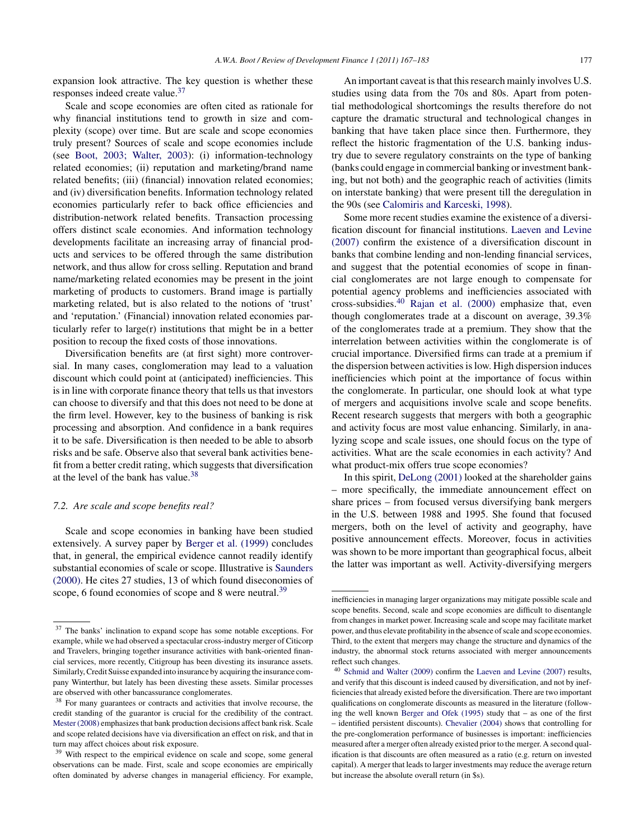expansion look attractive. The key question is whether these responses indeed create value.<sup>37</sup>

Scale and scope economies are often cited as rationale for why financial institutions tend to growth in size and complexity (scope) over time. But are scale and scope economies truly present? Sources of scale and scope economies include (see [Boot, 2003; Walter, 2003\):](#page-15-0) (i) information-technology related economies; (ii) reputation and marketing/brand name related benefits; (iii) (financial) innovation related economies; and (iv) diversification benefits. Information technology related economies particularly refer to back office efficiencies and distribution-network related benefits. Transaction processing offers distinct scale economies. And information technology developments facilitate an increasing array of financial products and services to be offered through the same distribution network, and thus allow for cross selling. Reputation and brand name/marketing related economies may be present in the joint marketing of products to customers. Brand image is partially marketing related, but is also related to the notions of 'trust' and 'reputation.' (Financial) innovation related economies particularly refer to large(r) institutions that might be in a better position to recoup the fixed costs of those innovations.

Diversification benefits are (at first sight) more controversial. In many cases, conglomeration may lead to a valuation discount which could point at (anticipated) inefficiencies. This is in line with corporate finance theory that tells us that investors can choose to diversify and that this does not need to be done at the firm level. However, key to the business of banking is risk processing and absorption. And confidence in a bank requires it to be safe. Diversification is then needed to be able to absorb risks and be safe. Observe also that several bank activities benefit from a better credit rating, which suggests that diversification at the level of the bank has value.<sup>38</sup>

## *7.2. Are scale and scope benefits real?*

Scale and scope economies in banking have been studied extensively. A survey paper by [Berger et al. \(1999\)](#page-15-0) concludes that, in general, the empirical evidence cannot readily identify substantial economies of scale or scope. Illustrative is [Saunders](#page-16-0) [\(2000\).](#page-16-0) He cites 27 studies, 13 of which found diseconomies of scope, 6 found economies of scope and 8 were neutral.<sup>39</sup>

An important caveat is that this research mainly involves U.S. studies using data from the 70s and 80s. Apart from potential methodological shortcomings the results therefore do not capture the dramatic structural and technological changes in banking that have taken place since then. Furthermore, they reflect the historic fragmentation of the U.S. banking industry due to severe regulatory constraints on the type of banking (banks could engage in commercial banking or investment banking, but not both) and the geographic reach of activities (limits on interstate banking) that were present till the deregulation in the 90s (see [Calomiris and Karceski, 1998\).](#page-15-0)

Some more recent studies examine the existence of a diversification discount for financial institutions. [Laeven and Levine](#page-16-0) [\(2007\)](#page-16-0) confirm the existence of a diversification discount in banks that combine lending and non-lending financial services, and suggest that the potential economies of scope in financial conglomerates are not large enough to compensate for potential agency problems and inefficiencies associated with cross-subsidies.<sup>40</sup> [Rajan et al. \(2000\)](#page-16-0) emphasize that, even though conglomerates trade at a discount on average, 39.3% of the conglomerates trade at a premium. They show that the interrelation between activities within the conglomerate is of crucial importance. Diversified firms can trade at a premium if the dispersion between activities is low. High dispersion induces inefficiencies which point at the importance of focus within the conglomerate. In particular, one should look at what type of mergers and acquisitions involve scale and scope benefits. Recent research suggests that mergers with both a geographic and activity focus are most value enhancing. Similarly, in analyzing scope and scale issues, one should focus on the type of activities. What are the scale economies in each activity? And what product-mix offers true scope economies?

In this spirit, [DeLong \(2001\)](#page-15-0) looked at the shareholder gains – more specifically, the immediate announcement effect on share prices – from focused versus diversifying bank mergers in the U.S. between 1988 and 1995. She found that focused mergers, both on the level of activity and geography, have positive announcement effects. Moreover, focus in activities was shown to be more important than geographical focus, albeit the latter was important as well. Activity-diversifying mergers

<sup>37</sup> The banks' inclination to expand scope has some notable exceptions. For example, while we had observed a spectacular cross-industry merger of Citicorp and Travelers, bringing together insurance activities with bank-oriented financial services, more recently, Citigroup has been divesting its insurance assets. Similarly, Credit Suisse expanded into insurance by acquiring the insurance company Winterthur, but lately has been divesting these assets. Similar processes are observed with other bancassurance conglomerates.<br><sup>38</sup> For many quarantees or contracts and activities the

<sup>38</sup> For many guarantees or contracts and activities that involve recourse, the credit standing of the guarantor is crucial for the credibility of the contract. [Mester \(2008\)](#page-16-0) emphasizes that bank production decisions affect bank risk. Scale and scope related decisions have via diversification an effect on risk, and that in turn may affect choices about risk exposure.

<sup>&</sup>lt;sup>39</sup> With respect to the empirical evidence on scale and scope, some general observations can be made. First, scale and scope economies are empirically often dominated by adverse changes in managerial efficiency. For example,

inefficiencies in managing larger organizations may mitigate possible scale and scope benefits. Second, scale and scope economies are difficult to disentangle from changes in market power. Increasing scale and scope may facilitate market power, and thus elevate profitability in the absence of scale and scope economies. Third, to the extent that mergers may change the structure and dynamics of the industry, the abnormal stock returns associated with merger announcements reflect such changes.

<sup>40</sup> [Schmid and Walter \(2009\)](#page-16-0) confirm the [Laeven and Levine \(2007\)](#page-16-0) results, and verify that this discount is indeed caused by diversification, and not by inefficiencies that already existed before the diversification. There are two important qualifications on conglomerate discounts as measured in the literature (following the well known [Berger and Ofek \(1995\)](#page-15-0) study that – as one of the first – identified persistent discounts). [Chevalier \(2004\)](#page-15-0) shows that controlling for the pre-conglomeration performance of businesses is important: inefficiencies measured after a merger often already existed prior to the merger. A second qualification is that discounts are often measured as a ratio (e.g. return on invested capital). A merger that leads to larger investments may reduce the average return but increase the absolute overall return (in \$s).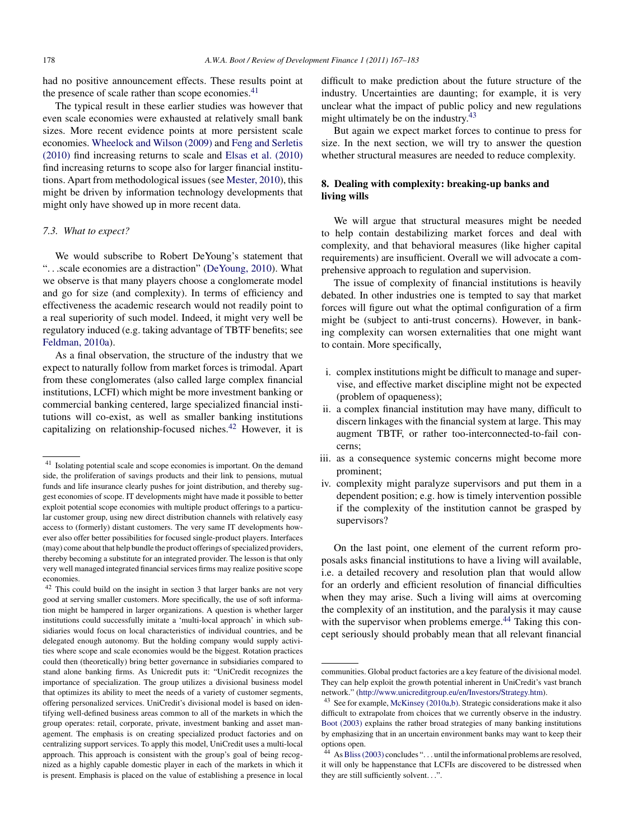<span id="page-11-0"></span>had no positive announcement effects. These results point at the presence of scale rather than scope economies. $41$ 

The typical result in these earlier studies was however that even scale economies were exhausted at relatively small bank sizes. More recent evidence points at more persistent scale economies. [Wheelock and Wilson \(2009\)](#page-16-0) and [Feng and Serletis](#page-15-0) [\(2010\)](#page-15-0) find increasing returns to scale and [Elsas et al. \(2010\)](#page-15-0) find increasing returns to scope also for larger financial institutions. Apart from methodological issues (see [Mester, 2010\),](#page-16-0) this might be driven by information technology developments that might only have showed up in more recent data.

#### *7.3. What to expect?*

We would subscribe to Robert DeYoung's statement that "...scale economies are a distraction" [\(DeYoung, 2010\).](#page-15-0) What we observe is that many players choose a conglomerate model and go for size (and complexity). In terms of efficiency and effectiveness the academic research would not readily point to a real superiority of such model. Indeed, it might very well be regulatory induced (e.g. taking advantage of TBTF benefits; see [Feldman, 2010a\).](#page-15-0)

As a final observation, the structure of the industry that we expect to naturally follow from market forces is trimodal. Apart from these conglomerates (also called large complex financial institutions, LCFI) which might be more investment banking or commercial banking centered, large specialized financial institutions will co-exist, as well as smaller banking institutions capitalizing on relationship-focused niches.<sup>42</sup> However, it is difficult to make prediction about the future structure of the industry. Uncertainties are daunting; for example, it is very unclear what the impact of public policy and new regulations might ultimately be on the industry. $43$ 

But again we expect market forces to continue to press for size. In the next section, we will try to answer the question whether structural measures are needed to reduce complexity.

# **8. Dealing with complexity: breaking-up banks and living wills**

We will argue that structural measures might be needed to help contain destabilizing market forces and deal with complexity, and that behavioral measures (like higher capital requirements) are insufficient. Overall we will advocate a comprehensive approach to regulation and supervision.

The issue of complexity of financial institutions is heavily debated. In other industries one is tempted to say that market forces will figure out what the optimal configuration of a firm might be (subject to anti-trust concerns). However, in banking complexity can worsen externalities that one might want to contain. More specifically,

- i. complex institutions might be difficult to manage and supervise, and effective market discipline might not be expected (problem of opaqueness);
- ii. a complex financial institution may have many, difficult to discern linkages with the financial system at large. This may augment TBTF, or rather too-interconnected-to-fail concerns;
- iii. as a consequence systemic concerns might become more prominent;
- iv. complexity might paralyze supervisors and put them in a dependent position; e.g. how is timely intervention possible if the complexity of the institution cannot be grasped by supervisors?

On the last point, one element of the current reform proposals asks financial institutions to have a living will available, i.e. a detailed recovery and resolution plan that would allow for an orderly and efficient resolution of financial difficulties when they may arise. Such a living will aims at overcoming the complexity of an institution, and the paralysis it may cause with the supervisor when problems emerge.<sup>44</sup> Taking this concept seriously should probably mean that all relevant financial

<sup>41</sup> Isolating potential scale and scope economies is important. On the demand side, the proliferation of savings products and their link to pensions, mutual funds and life insurance clearly pushes for joint distribution, and thereby suggest economies of scope. IT developments might have made it possible to better exploit potential scope economies with multiple product offerings to a particular customer group, using new direct distribution channels with relatively easy access to (formerly) distant customers. The very same IT developments however also offer better possibilities for focused single-product players. Interfaces (may) come about that help bundle the product offerings of specialized providers, thereby becoming a substitute for an integrated provider. The lesson is that only very well managed integrated financial services firms may realize positive scope economies.

<sup>42</sup> This could build on the insight in section 3 that larger banks are not very good at serving smaller customers. More specifically, the use of soft information might be hampered in larger organizations. A question is whether larger institutions could successfully imitate a 'multi-local approach' in which subsidiaries would focus on local characteristics of individual countries, and be delegated enough autonomy. But the holding company would supply activities where scope and scale economies would be the biggest. Rotation practices could then (theoretically) bring better governance in subsidiaries compared to stand alone banking firms. As Unicredit puts it: "UniCredit recognizes the importance of specialization. The group utilizes a divisional business model that optimizes its ability to meet the needs of a variety of customer segments, offering personalized services. UniCredit's divisional model is based on identifying well-defined business areas common to all of the markets in which the group operates: retail, corporate, private, investment banking and asset management. The emphasis is on creating specialized product factories and on centralizing support services. To apply this model, UniCredit uses a multi-local approach. This approach is consistent with the group's goal of being recognized as a highly capable domestic player in each of the markets in which it is present. Emphasis is placed on the value of establishing a presence in local

communities. Global product factories are a key feature of the divisional model. They can help exploit the growth potential inherent in UniCredit's vast branch network." [\(http://www.unicreditgroup.eu/en/Investors/Strategy.htm\)](http://www.unicreditgroup.eu/en/Investors/Strategy.htm).

<sup>43</sup> See for example, [McKinsey \(2010a,b\). S](#page-16-0)trategic considerations make it also difficult to extrapolate from choices that we currently observe in the industry. [Boot \(2003\)](#page-15-0) explains the rather broad strategies of many banking institutions by emphasizing that in an uncertain environment banks may want to keep their options open.

 $44$  As [Bliss \(2003\)](#page-15-0) concludes "... until the informational problems are resolved, it will only be happenstance that LCFIs are discovered to be distressed when they are still sufficiently solvent...".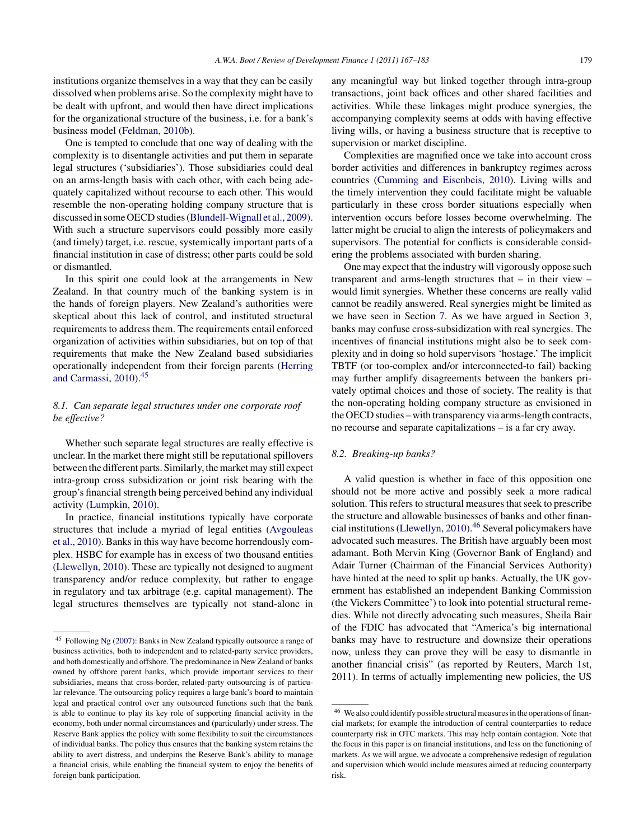institutions organize themselves in a way that they can be easily dissolved when problems arise. So the complexity might have to be dealt with upfront, and would then have direct implications for the organizational structure of the business, i.e. for a bank's business model [\(Feldman, 2010b\).](#page-15-0)

One is tempted to conclude that one way of dealing with the complexity is to disentangle activities and put them in separate legal structures ('subsidiaries'). Those subsidiaries could deal on an arms-length basis with each other, with each being adequately capitalized without recourse to each other. This would resemble the non-operating holding company structure that is discussed in some OECD studies ([Blundell-Wignall et al., 2009\).](#page-15-0) With such a structure supervisors could possibly more easily (and timely) target, i.e. rescue, systemically important parts of a financial institution in case of distress; other parts could be sold or dismantled.

In this spirit one could look at the arrangements in New Zealand. In that country much of the banking system is in the hands of foreign players. New Zealand's authorities were skeptical about this lack of control, and instituted structural requirements to address them. The requirements entail enforced organization of activities within subsidiaries, but on top of that requirements that make the New Zealand based subsidiaries operationally independent from their foreign parents ([Herring](#page-16-0) [and Carmassi, 2010\).](#page-16-0)<sup>45</sup>

# *8.1. Can separate legal structures under one corporate roof be effective?*

Whether such separate legal structures are really effective is unclear. In the market there might still be reputational spillovers between the different parts. Similarly, the market may still expect intra-group cross subsidization or joint risk bearing with the group's financial strength being perceived behind any individual activity [\(Lumpkin, 2010\).](#page-16-0)

In practice, financial institutions typically have corporate structures that include a myriad of legal entities ([Avgouleas](#page-14-0) [et al., 2010\).](#page-14-0) Banks in this way have become horrendously complex. HSBC for example has in excess of two thousand entities ([Llewellyn, 2010\).](#page-16-0) These are typically not designed to augment transparency and/or reduce complexity, but rather to engage in regulatory and tax arbitrage (e.g. capital management). The legal structures themselves are typically not stand-alone in

any meaningful way but linked together through intra-group transactions, joint back offices and other shared facilities and activities. While these linkages might produce synergies, the accompanying complexity seems at odds with having effective living wills, or having a business structure that is receptive to supervision or market discipline.

Complexities are magnified once we take into account cross border activities and differences in bankruptcy regimes across countries ([Cumming and Eisenbeis, 2010\).](#page-15-0) Living wills and the timely intervention they could facilitate might be valuable particularly in these cross border situations especially when intervention occurs before losses become overwhelming. The latter might be crucial to align the interests of policymakers and supervisors. The potential for conflicts is considerable considering the problems associated with burden sharing.

One may expect that the industry will vigorously oppose such transparent and arms-length structures that – in their view – would limit synergies. Whether these concerns are really valid cannot be readily answered. Real synergies might be limited as we have seen in Section [7.](#page-9-0) As we have argued in Section [3,](#page-4-0) banks may confuse cross-subsidization with real synergies. The incentives of financial institutions might also be to seek complexity and in doing so hold supervisors 'hostage.' The implicit TBTF (or too-complex and/or interconnected-to fail) backing may further amplify disagreements between the bankers privately optimal choices and those of society. The reality is that the non-operating holding company structure as envisioned in the OECD studies – with transparency via arms-length contracts, no recourse and separate capitalizations – is a far cry away.

#### *8.2. Breaking-up banks?*

A valid question is whether in face of this opposition one should not be more active and possibly seek a more radical solution. This refers to structural measures that seek to prescribe the structure and allowable businesses of banks and other finan-cial institutions [\(Llewellyn, 2010\).](#page-16-0)<sup>46</sup> Several policymakers have advocated such measures. The British have arguably been most adamant. Both Mervin King (Governor Bank of England) and Adair Turner (Chairman of the Financial Services Authority) have hinted at the need to split up banks. Actually, the UK government has established an independent Banking Commission (the Vickers Committee') to look into potential structural remedies. While not directly advocating such measures, Sheila Bair of the FDIC has advocated that "America's big international banks may have to restructure and downsize their operations now, unless they can prove they will be easy to dismantle in another financial crisis" (as reported by Reuters, March 1st, 2011). In terms of actually implementing new policies, the US

<sup>45</sup> Following [Ng \(2007\): B](#page-16-0)anks in New Zealand typically outsource a range of business activities, both to independent and to related-party service providers, and both domestically and offshore. The predominance in New Zealand of banks owned by offshore parent banks, which provide important services to their subsidiaries, means that cross-border, related-party outsourcing is of particular relevance. The outsourcing policy requires a large bank's board to maintain legal and practical control over any outsourced functions such that the bank is able to continue to play its key role of supporting financial activity in the economy, both under normal circumstances and (particularly) under stress. The Reserve Bank applies the policy with some flexibility to suit the circumstances of individual banks. The policy thus ensures that the banking system retains the ability to avert distress, and underpins the Reserve Bank's ability to manage a financial crisis, while enabling the financial system to enjoy the benefits of foreign bank participation.

<sup>46</sup> We also could identify possible structural measures in the operations of financial markets; for example the introduction of central counterparties to reduce counterparty risk in OTC markets. This may help contain contagion. Note that the focus in this paper is on financial institutions, and less on the functioning of markets. As we will argue, we advocate a comprehensive redesign of regulation and supervision which would include measures aimed at reducing counterparty risk.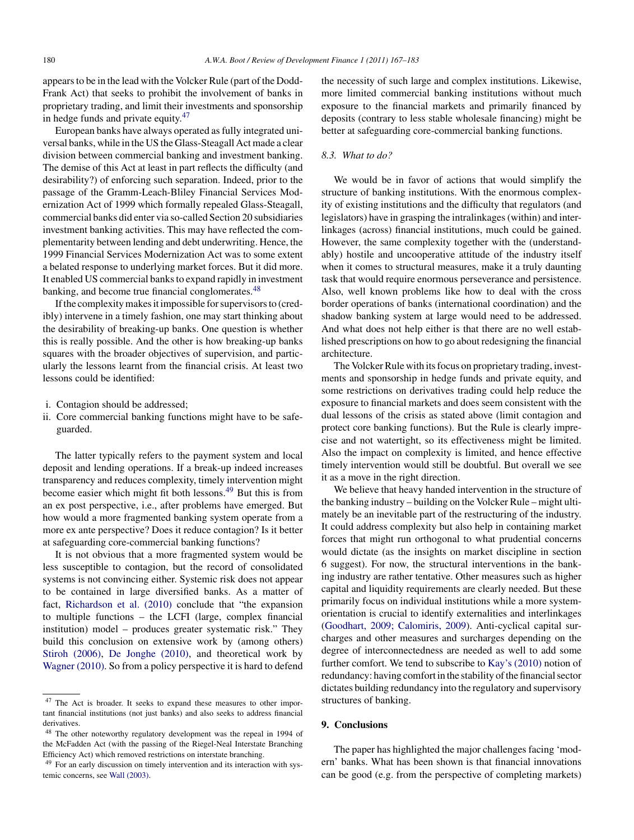<span id="page-13-0"></span>appears to be in the lead with the Volcker Rule (part of the Dodd-Frank Act) that seeks to prohibit the involvement of banks in proprietary trading, and limit their investments and sponsorship in hedge funds and private equity.<sup>47</sup>

European banks have always operated as fully integrated universal banks, while in the US the Glass-Steagall Act made a clear division between commercial banking and investment banking. The demise of this Act at least in part reflects the difficulty (and desirability?) of enforcing such separation. Indeed, prior to the passage of the Gramm-Leach-Bliley Financial Services Modernization Act of 1999 which formally repealed Glass-Steagall, commercial banks did enter via so-called Section 20 subsidiaries investment banking activities. This may have reflected the complementarity between lending and debt underwriting. Hence, the 1999 Financial Services Modernization Act was to some extent a belated response to underlying market forces. But it did more. It enabled US commercial banks to expand rapidly in investment banking, and become true financial conglomerates.<sup>48</sup>

If the complexity makes it impossible for supervisors to (credibly) intervene in a timely fashion, one may start thinking about the desirability of breaking-up banks. One question is whether this is really possible. And the other is how breaking-up banks squares with the broader objectives of supervision, and particularly the lessons learnt from the financial crisis. At least two lessons could be identified:

- i. Contagion should be addressed;
- ii. Core commercial banking functions might have to be safeguarded.

The latter typically refers to the payment system and local deposit and lending operations. If a break-up indeed increases transparency and reduces complexity, timely intervention might become easier which might fit both lessons.<sup>49</sup> But this is from an ex post perspective, i.e., after problems have emerged. But how would a more fragmented banking system operate from a more ex ante perspective? Does it reduce contagion? Is it better at safeguarding core-commercial banking functions?

It is not obvious that a more fragmented system would be less susceptible to contagion, but the record of consolidated systems is not convincing either. Systemic risk does not appear to be contained in large diversified banks. As a matter of fact, [Richardson et al. \(2010\)](#page-16-0) conclude that "the expansion to multiple functions – the LCFI (large, complex financial institution) model – produces greater systematic risk." They build this conclusion on extensive work by (among others) [Stiroh \(2006\),](#page-16-0) [De Jonghe \(2010\),](#page-15-0) and theoretical work by [Wagner \(2010\). S](#page-16-0)o from a policy perspective it is hard to defend the necessity of such large and complex institutions. Likewise, more limited commercial banking institutions without much exposure to the financial markets and primarily financed by deposits (contrary to less stable wholesale financing) might be better at safeguarding core-commercial banking functions.

#### *8.3. What to do?*

We would be in favor of actions that would simplify the structure of banking institutions. With the enormous complexity of existing institutions and the difficulty that regulators (and legislators) have in grasping the intralinkages (within) and interlinkages (across) financial institutions, much could be gained. However, the same complexity together with the (understandably) hostile and uncooperative attitude of the industry itself when it comes to structural measures, make it a truly daunting task that would require enormous perseverance and persistence. Also, well known problems like how to deal with the cross border operations of banks (international coordination) and the shadow banking system at large would need to be addressed. And what does not help either is that there are no well established prescriptions on how to go about redesigning the financial architecture.

The Volcker Rule with its focus on proprietary trading, investments and sponsorship in hedge funds and private equity, and some restrictions on derivatives trading could help reduce the exposure to financial markets and does seem consistent with the dual lessons of the crisis as stated above (limit contagion and protect core banking functions). But the Rule is clearly imprecise and not watertight, so its effectiveness might be limited. Also the impact on complexity is limited, and hence effective timely intervention would still be doubtful. But overall we see it as a move in the right direction.

We believe that heavy handed intervention in the structure of the banking industry – building on the Volcker Rule – might ultimately be an inevitable part of the restructuring of the industry. It could address complexity but also help in containing market forces that might run orthogonal to what prudential concerns would dictate (as the insights on market discipline in section 6 suggest). For now, the structural interventions in the banking industry are rather tentative. Other measures such as higher capital and liquidity requirements are clearly needed. But these primarily focus on individual institutions while a more systemorientation is crucial to identify externalities and interlinkages [\(Goodhart, 2009; Calomiris, 2009\).](#page-15-0) Anti-cyclical capital surcharges and other measures and surcharges depending on the degree of interconnectedness are needed as well to add some further comfort. We tend to subscribe to [Kay's \(2010\)](#page-16-0) notion of redundancy: having comfort in the stability of the financial sector dictates building redundancy into the regulatory and supervisory structures of banking.

## **9. Conclusions**

The paper has highlighted the major challenges facing 'modern' banks. What has been shown is that financial innovations can be good (e.g. from the perspective of completing markets)

<sup>47</sup> The Act is broader. It seeks to expand these measures to other important financial institutions (not just banks) and also seeks to address financial derivatives.

<sup>48</sup> The other noteworthy regulatory development was the repeal in 1994 of the McFadden Act (with the passing of the Riegel-Neal Interstate Branching Efficiency Act) which removed restrictions on interstate branching.

<sup>49</sup> For an early discussion on timely intervention and its interaction with systemic concerns, see [Wall \(2003\).](#page-16-0)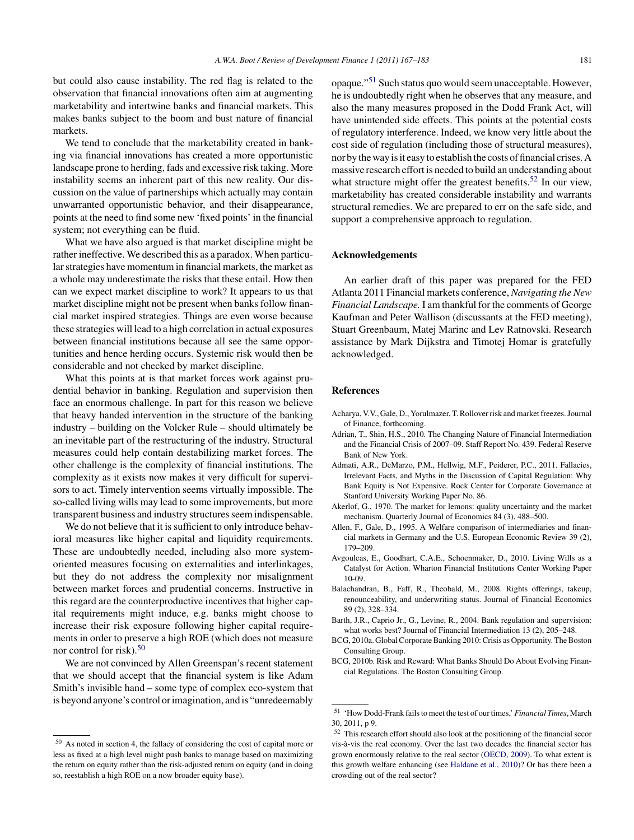<span id="page-14-0"></span>but could also cause instability. The red flag is related to the observation that financial innovations often aim at augmenting marketability and intertwine banks and financial markets. This makes banks subject to the boom and bust nature of financial markets.

We tend to conclude that the marketability created in banking via financial innovations has created a more opportunistic landscape prone to herding, fads and excessive risk taking. More instability seems an inherent part of this new reality. Our discussion on the value of partnerships which actually may contain unwarranted opportunistic behavior, and their disappearance, points at the need to find some new 'fixed points' in the financial system; not everything can be fluid.

What we have also argued is that market discipline might be rather ineffective. We described this as a paradox. When particular strategies have momentum in financial markets, the market as a whole may underestimate the risks that these entail. How then can we expect market discipline to work? It appears to us that market discipline might not be present when banks follow financial market inspired strategies. Things are even worse because these strategies will lead to a high correlation in actual exposures between financial institutions because all see the same opportunities and hence herding occurs. Systemic risk would then be considerable and not checked by market discipline.

What this points at is that market forces work against prudential behavior in banking. Regulation and supervision then face an enormous challenge. In part for this reason we believe that heavy handed intervention in the structure of the banking industry – building on the Volcker Rule – should ultimately be an inevitable part of the restructuring of the industry. Structural measures could help contain destabilizing market forces. The other challenge is the complexity of financial institutions. The complexity as it exists now makes it very difficult for supervisors to act. Timely intervention seems virtually impossible. The so-called living wills may lead to some improvements, but more transparent business and industry structures seem indispensable.

We do not believe that it is sufficient to only introduce behavioral measures like higher capital and liquidity requirements. These are undoubtedly needed, including also more systemoriented measures focusing on externalities and interlinkages, but they do not address the complexity nor misalignment between market forces and prudential concerns. Instructive in this regard are the counterproductive incentives that higher capital requirements might induce, e.g. banks might choose to increase their risk exposure following higher capital requirements in order to preserve a high ROE (which does not measure nor control for risk). $50$ 

We are not convinced by Allen Greenspan's recent statement that we should accept that the financial system is like Adam Smith's invisible hand – some type of complex eco-system that is beyond anyone's control or imagination, and is "unredeemably

opaque."<sup>51</sup> Such status quo would seem unacceptable. However, he is undoubtedly right when he observes that any measure, and also the many measures proposed in the Dodd Frank Act, will have unintended side effects. This points at the potential costs of regulatory interference. Indeed, we know very little about the cost side of regulation (including those of structural measures), nor by the way is it easy to establish the costs of financial crises. A massive research effort is needed to build an understanding about what structure might offer the greatest benefits.<sup>52</sup> In our view, marketability has created considerable instability and warrants structural remedies. We are prepared to err on the safe side, and support a comprehensive approach to regulation.

### **Acknowledgements**

An earlier draft of this paper was prepared for the FED Atlanta 2011 Financial markets conference, *Navigating the New Financial Landscape.* I am thankful for the comments of George Kaufman and Peter Wallison (discussants at the FED meeting), Stuart Greenbaum, Matej Marinc and Lev Ratnovski. Research assistance by Mark Dijkstra and Timotej Homar is gratefully acknowledged.

#### **References**

- Acharya, V.V., Gale, D., Yorulmazer, T. Rollover risk and market freezes. Journal of Finance, forthcoming.
- Adrian, T., Shin, H.S., 2010. The Changing Nature of Financial Intermediation and the Financial Crisis of 2007–09. Staff Report No. 439. Federal Reserve Bank of New York.
- Admati, A.R., DeMarzo, P.M., Hellwig, M.F., Peiderer, P.C., 2011. Fallacies, Irrelevant Facts, and Myths in the Discussion of Capital Regulation: Why Bank Equity is Not Expensive. Rock Center for Corporate Governance at Stanford University Working Paper No. 86.
- Akerlof, G., 1970. The market for lemons: quality uncertainty and the market mechanism. Quarterly Journal of Economics 84 (3), 488–500.
- Allen, F., Gale, D., 1995. A Welfare comparison of intermediaries and financial markets in Germany and the U.S. European Economic Review 39 (2), 179–209.
- Avgouleas, E., Goodhart, C.A.E., Schoenmaker, D., 2010. Living Wills as a Catalyst for Action. Wharton Financial Institutions Center Working Paper 10-09.
- Balachandran, B., Faff, R., Theobald, M., 2008. Rights offerings, takeup, renounceability, and underwriting status. Journal of Financial Economics 89 (2), 328–334.
- Barth, J.R., Caprio Jr., G., Levine, R., 2004. Bank regulation and supervision: what works best? Journal of Financial Intermediation 13 (2), 205–248.
- BCG, 2010a. Global Corporate Banking 2010: Crisis as Opportunity. The Boston Consulting Group.
- BCG, 2010b. Risk and Reward: What Banks Should Do About Evolving Financial Regulations. The Boston Consulting Group.

<sup>50</sup> As noted in section 4, the fallacy of considering the cost of capital more or less as fixed at a high level might push banks to manage based on maximizing the return on equity rather than the risk-adjusted return on equity (and in doing so, reestablish a high ROE on a now broader equity base).

<sup>51</sup> 'How Dodd-Frank fails to meet the test of our times,' *Financial Times*, March 30, 2011, p 9.

<sup>52</sup> This research effort should also look at the positioning of the financial secor vis-à-vis the real economy. Over the last two decades the financial sector has grown enormously relative to the real sector ([OECD, 2009\).](#page-16-0) To what extent is this growth welfare enhancing (see [Haldane et al., 2010\)?](#page-16-0) Or has there been a crowding out of the real sector?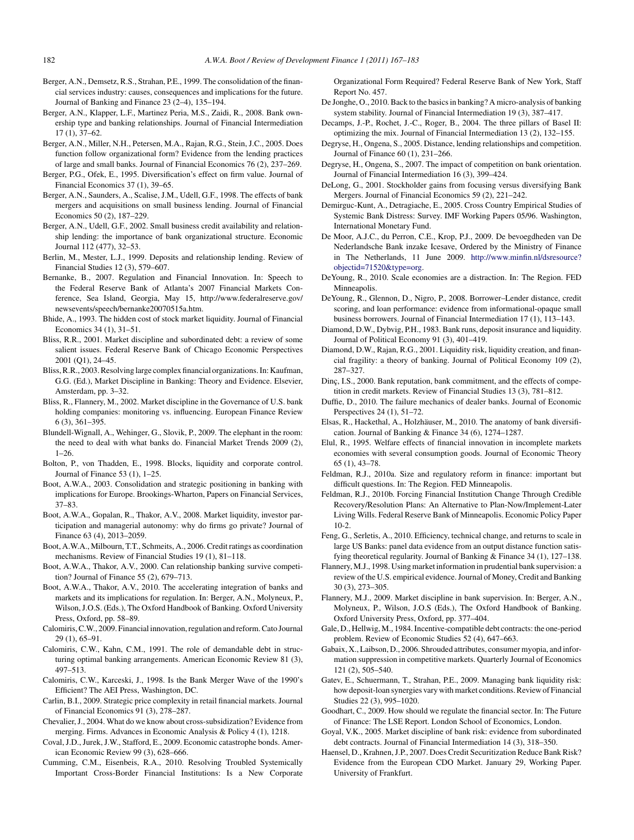- <span id="page-15-0"></span>Berger, A.N., Demsetz, R.S., Strahan, P.E., 1999. The consolidation of the financial services industry: causes, consequences and implications for the future. Journal of Banking and Finance 23 (2–4), 135–194.
- Berger, A.N., Klapper, L.F., Martinez Peria, M.S., Zaidi, R., 2008. Bank ownership type and banking relationships. Journal of Financial Intermediation 17 (1), 37–62.
- Berger, A.N., Miller, N.H., Petersen, M.A., Rajan, R.G., Stein, J.C., 2005. Does function follow organizational form? Evidence from the lending practices of large and small banks. Journal of Financial Economics 76 (2), 237–269.
- Berger, P.G., Ofek, E., 1995. Diversification's effect on firm value. Journal of Financial Economics 37 (1), 39–65.
- Berger, A.N., Saunders, A., Scalise, J.M., Udell, G.F., 1998. The effects of bank mergers and acquisitions on small business lending. Journal of Financial Economics 50 (2), 187–229.
- Berger, A.N., Udell, G.F., 2002. Small business credit availability and relationship lending: the importance of bank organizational structure. Economic Journal 112 (477), 32–53.
- Berlin, M., Mester, L.J., 1999. Deposits and relationship lending. Review of Financial Studies 12 (3), 579–607.
- Bernanke, B., 2007. Regulation and Financial Innovation. In: Speech to the Federal Reserve Bank of Atlanta's 2007 Financial Markets Conference, Sea Island, Georgia, May 15, http://www.federalreserve.gov/ newsevents/speech/bernanke20070515a.htm.
- Bhide, A., 1993. The hidden cost of stock market liquidity. Journal of Financial Economics 34 (1), 31–51.
- Bliss, R.R., 2001. Market discipline and subordinated debt: a review of some salient issues. Federal Reserve Bank of Chicago Economic Perspectives 2001 (Q1), 24–45.
- Bliss, R.R., 2003. Resolving large complex financial organizations. In: Kaufman, G.G. (Ed.), Market Discipline in Banking: Theory and Evidence. Elsevier, Amsterdam, pp. 3–32.
- Bliss, R., Flannery, M., 2002. Market discipline in the Governance of U.S. bank holding companies: monitoring vs. influencing. European Finance Review 6 (3), 361–395.
- Blundell-Wignall, A., Wehinger, G., Slovik, P., 2009. The elephant in the room: the need to deal with what banks do. Financial Market Trends 2009 (2), 1–26.
- Bolton, P., von Thadden, E., 1998. Blocks, liquidity and corporate control. Journal of Finance 53 (1), 1–25.
- Boot, A.W.A., 2003. Consolidation and strategic positioning in banking with implications for Europe. Brookings-Wharton, Papers on Financial Services, 37–83.
- Boot, A.W.A., Gopalan, R., Thakor, A.V., 2008. Market liquidity, investor participation and managerial autonomy: why do firms go private? Journal of Finance 63 (4), 2013–2059.
- Boot, A.W.A., Milbourn, T.T., Schmeits, A., 2006. Credit ratings as coordination mechanisms. Review of Financial Studies 19 (1), 81–118.
- Boot, A.W.A., Thakor, A.V., 2000. Can relationship banking survive competition? Journal of Finance 55 (2), 679–713.
- Boot, A.W.A., Thakor, A.V., 2010. The accelerating integration of banks and markets and its implications for regulation. In: Berger, A.N., Molyneux, P., Wilson, J.O.S. (Eds.), The Oxford Handbook of Banking. Oxford University Press, Oxford, pp. 58–89.
- Calomiris, C.W., 2009. Financial innovation, regulation and reform. Cato Journal 29 (1), 65–91.
- Calomiris, C.W., Kahn, C.M., 1991. The role of demandable debt in structuring optimal banking arrangements. American Economic Review 81 (3), 497–513.
- Calomiris, C.W., Karceski, J., 1998. Is the Bank Merger Wave of the 1990's Efficient? The AEI Press, Washington, DC.
- Carlin, B.I., 2009. Strategic price complexity in retail financial markets. Journal of Financial Economics 91 (3), 278–287.
- Chevalier, J., 2004. What do we know about cross-subsidization? Evidence from merging. Firms. Advances in Economic Analysis & Policy 4 (1), 1218.
- Coval, J.D., Jurek, J.W., Stafford, E., 2009. Economic catastrophe bonds. American Economic Review 99 (3), 628–666.
- Cumming, C.M., Eisenbeis, R.A., 2010. Resolving Troubled Systemically Important Cross-Border Financial Institutions: Is a New Corporate

Organizational Form Required? Federal Reserve Bank of New York, Staff Report No. 457.

- De Jonghe, O., 2010. Back to the basics in banking? A micro-analysis of banking system stability. Journal of Financial Intermediation 19 (3), 387–417.
- Decamps, J.-P., Rochet, J.-C., Roger, B., 2004. The three pillars of Basel II: optimizing the mix. Journal of Financial Intermediation 13 (2), 132–155.
- Degryse, H., Ongena, S., 2005. Distance, lending relationships and competition. Journal of Finance 60 (1), 231–266.
- Degryse, H., Ongena, S., 2007. The impact of competition on bank orientation. Journal of Financial Intermediation 16 (3), 399–424.
- DeLong, G., 2001. Stockholder gains from focusing versus diversifying Bank Mergers. Journal of Financial Economics 59 (2), 221–242.
- Demirguc-Kunt, A., Detragiache, E., 2005. Cross Country Empirical Studies of Systemic Bank Distress: Survey. IMF Working Papers 05/96. Washington, International Monetary Fund.
- De Moor, A.J.C., du Perron, C.E., Krop, P.J., 2009. De bevoegdheden van De Nederlandsche Bank inzake Icesave, Ordered by the Ministry of Finance in The Netherlands, 11 June 2009. [http://www.minfin.nl/dsresource?](http://www.minfin.nl/dsresource%3Fobjectid=71520%26type=org) [objectid=71520&type=org.](http://www.minfin.nl/dsresource%3Fobjectid=71520%26type=org)
- DeYoung, R., 2010. Scale economies are a distraction. In: The Region. FED Minneapolis.
- DeYoung, R., Glennon, D., Nigro, P., 2008. Borrower–Lender distance, credit scoring, and loan performance: evidence from informational-opaque small business borrowers. Journal of Financial Intermediation 17 (1), 113–143.
- Diamond, D.W., Dybvig, P.H., 1983. Bank runs, deposit insurance and liquidity. Journal of Political Economy 91 (3), 401–419.
- Diamond, D.W., Rajan, R.G., 2001. Liquidity risk, liquidity creation, and financial fragility: a theory of banking. Journal of Political Economy 109 (2), 287–327.
- Dinc, I.S., 2000. Bank reputation, bank commitment, and the effects of competition in credit markets. Review of Financial Studies 13 (3), 781–812.
- Duffie, D., 2010. The failure mechanics of dealer banks. Journal of Economic Perspectives 24 (1), 51–72.
- Elsas, R., Hackethal, A., Holzhäuser, M., 2010. The anatomy of bank diversification. Journal of Banking & Finance 34 (6), 1274–1287.
- Elul, R., 1995. Welfare effects of financial innovation in incomplete markets economies with several consumption goods. Journal of Economic Theory 65 (1), 43–78.
- Feldman, R.J., 2010a. Size and regulatory reform in finance: important but difficult questions. In: The Region. FED Minneapolis.
- Feldman, R.J., 2010b. Forcing Financial Institution Change Through Credible Recovery/Resolution Plans: An Alternative to Plan-Now/Implement-Later Living Wills. Federal Reserve Bank of Minneapolis. Economic Policy Paper 10-2.
- Feng, G., Serletis, A., 2010. Efficiency, technical change, and returns to scale in large US Banks: panel data evidence from an output distance function satisfying theoretical regularity. Journal of Banking & Finance 34 (1), 127–138.
- Flannery, M.J., 1998. Using market information in prudential bank supervision: a review of the U.S. empirical evidence. Journal of Money, Credit and Banking 30 (3), 273–305.
- Flannery, M.J., 2009. Market discipline in bank supervision. In: Berger, A.N., Molyneux, P., Wilson, J.O.S (Eds.), The Oxford Handbook of Banking. Oxford University Press, Oxford, pp. 377–404.
- Gale, D., Hellwig, M., 1984. Incentive-compatible debt contracts: the one-period problem. Review of Economic Studies 52 (4), 647–663.
- Gabaix, X., Laibson, D., 2006. Shrouded attributes, consumer myopia, and information suppression in competitive markets. Quarterly Journal of Economics 121 (2), 505–540.
- Gatev, E., Schuermann, T., Strahan, P.E., 2009. Managing bank liquidity risk: how deposit-loan synergies vary with market conditions. Review of Financial Studies 22 (3), 995–1020.
- Goodhart, C., 2009. How should we regulate the financial sector. In: The Future of Finance: The LSE Report. London School of Economics, London.
- Goyal, V.K., 2005. Market discipline of bank risk: evidence from subordinated debt contracts. Journal of Financial Intermediation 14 (3), 318–350.
- Haensel, D., Krahnen, J.P., 2007. Does Credit Securitization Reduce Bank Risk? Evidence from the European CDO Market. January 29, Working Paper. University of Frankfurt.